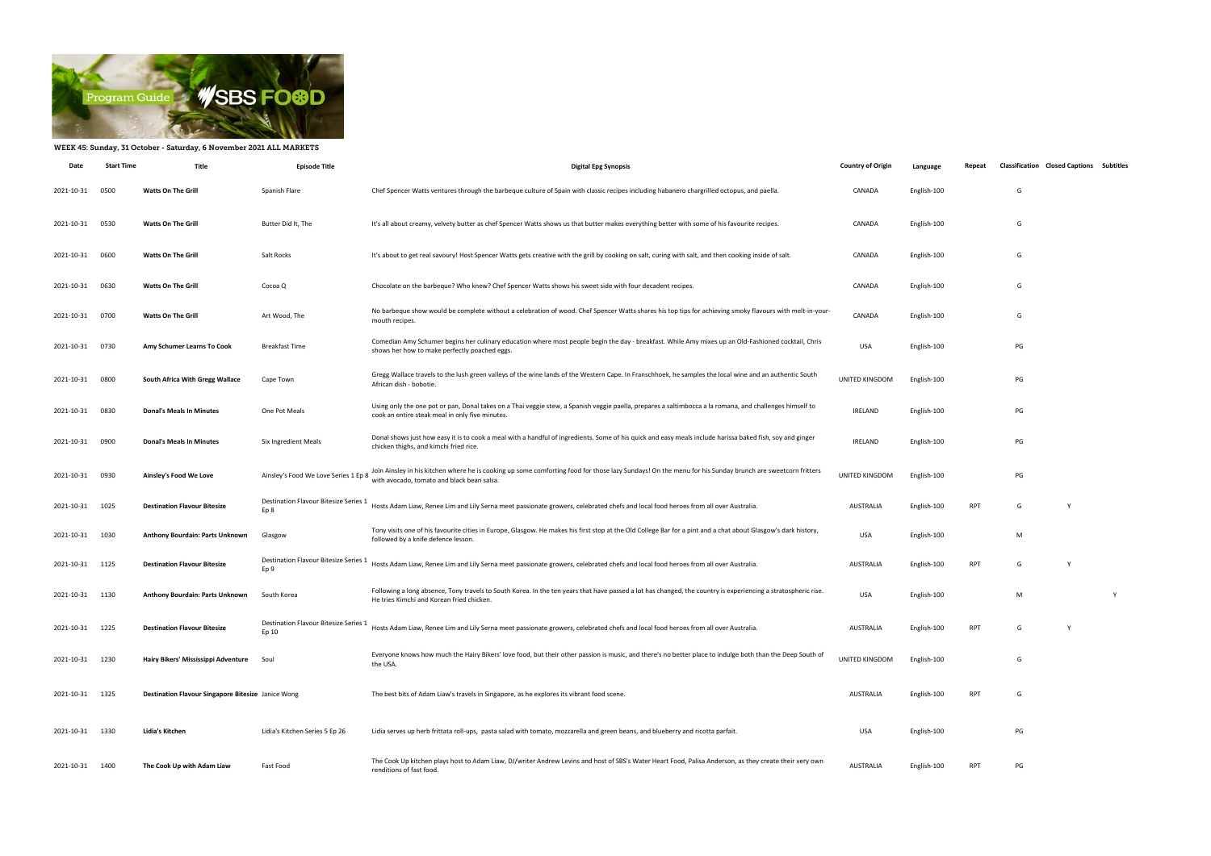

## WEEK 45: Sunday, 31 October - Saturday, 6 November 2021 ALL MARKETS

| Date            | <b>Start Time</b> | Title                                              | <b>Episode Title</b>                           | <b>Digital Epg Synopsis</b>                                                                                                                                                                                 | <b>Country of Origin</b> | Language    | Repeat     | <b>Classification Closed Captions Subtitles</b> |   |
|-----------------|-------------------|----------------------------------------------------|------------------------------------------------|-------------------------------------------------------------------------------------------------------------------------------------------------------------------------------------------------------------|--------------------------|-------------|------------|-------------------------------------------------|---|
| 2021-10-31      | 0500              | <b>Watts On The Grill</b>                          | Spanish Flare                                  | Chef Spencer Watts ventures through the barbeque culture of Spain with classic recipes including habanero chargrilled octopus, and paella.                                                                  | CANADA                   | English-100 |            | G                                               |   |
| 2021-10-31      | 0530              | <b>Watts On The Grill</b>                          | Butter Did It, The                             | It's all about creamy, velvety butter as chef Spencer Watts shows us that butter makes everything better with some of his favourite recipes.                                                                | CANADA                   | English-100 |            | G                                               |   |
| 2021-10-31      | 0600              | <b>Watts On The Grill</b>                          | Salt Rocks                                     | It's about to get real savoury! Host Spencer Watts gets creative with the grill by cooking on salt, curing with salt, and then cooking inside of salt.                                                      | CANADA                   | English-100 |            | G                                               |   |
| 2021-10-31      | 0630              | <b>Watts On The Grill</b>                          | Cocoa Q                                        | Chocolate on the barbeque? Who knew? Chef Spencer Watts shows his sweet side with four decadent recipes.                                                                                                    | CANADA                   | English-100 |            | G                                               |   |
| 2021-10-31      | 0700              | <b>Watts On The Grill</b>                          | Art Wood, The                                  | No barbeque show would be complete without a celebration of wood. Chef Spencer Watts shares his top tips for achieving smoky flavours with melt-in-your-<br>mouth recipes.                                  | CANADA                   | English-100 |            | G                                               |   |
| 2021-10-31      | 0730              | Amy Schumer Learns To Cook                         | Breakfast Time                                 | Comedian Amy Schumer begins her culinary education where most people begin the day - breakfast. While Amy mixes up an Old-Fashioned cocktail, Chris<br>shows her how to make perfectly poached eggs.        | <b>USA</b>               | English-100 |            | PG                                              |   |
| 2021-10-31      | 0800              | South Africa With Gregg Wallace                    | Cape Town                                      | Gregg Wallace travels to the lush green valleys of the wine lands of the Western Cape. In Franschhoek, he samples the local wine and an authentic South<br>African dish - bobotie.                          | UNITED KINGDOM           | English-100 |            | PG                                              |   |
| 2021-10-31      | 0830              | <b>Donal's Meals In Minutes</b>                    | One Pot Meals                                  | Using only the one pot or pan, Donal takes on a Thai veggie stew, a Spanish veggie paella, prepares a saltimbocca a la romana, and challenges himself to<br>cook an entire steak meal in only five minutes. | IRELAND                  | English-100 |            | PG                                              |   |
| 2021-10-31      | 0900              | <b>Donal's Meals In Minutes</b>                    | Six Ingredient Meals                           | Donal shows just how easy it is to cook a meal with a handful of ingredients. Some of his quick and easy meals include harissa baked fish, soy and ginger<br>chicken thighs, and kimchi fried rice.         | IRELAND                  | English-100 |            | PG                                              |   |
| 2021-10-31      | 0930              | Ainsley's Food We Love                             | Ainsley's Food We Love Series 1 Ep 8           | Join Ainsley in his kitchen where he is cooking up some comforting food for those lazy Sundays! On the menu for his Sunday brunch are sweetcorn fritters<br>with avocado, tomato and black bean salsa.      | UNITED KINGDOM           | English-100 |            | PG                                              |   |
| 2021-10-31 1025 |                   | <b>Destination Flavour Bitesize</b>                | Destination Flavour Bitesize Series 1<br>Ep 8  | Hosts Adam Liaw, Renee Lim and Lily Serna meet passionate growers, celebrated chefs and local food heroes from all over Australia.                                                                          | AUSTRALIA                | English-100 | RPT        | G                                               |   |
| 2021-10-31      | 1030              | Anthony Bourdain: Parts Unknown                    | Glasgow                                        | Tony visits one of his favourite cities in Europe, Glasgow. He makes his first stop at the Old College Bar for a pint and a chat about Glasgow's dark history,<br>followed by a knife defence lesson.       | USA                      | English-100 |            | M                                               |   |
| 2021-10-31 1125 |                   | <b>Destination Flavour Bitesize</b>                | Destination Flavour Bitesize Series 1<br>Ep 9  | Hosts Adam Liaw, Renee Lim and Lily Serna meet passionate growers, celebrated chefs and local food heroes from all over Australia.                                                                          | <b>AUSTRALIA</b>         | English-100 | <b>RPT</b> | G                                               |   |
| 2021-10-31      | 1130              | Anthony Bourdain: Parts Unknown                    | South Korea                                    | Following a long absence, Tony travels to South Korea. In the ten years that have passed a lot has changed, the country is experiencing a stratospheric rise.<br>He tries Kimchi and Korean fried chicken.  | USA                      | English-100 |            | M                                               | Y |
| 2021-10-31 1225 |                   | <b>Destination Flavour Bitesize</b>                | Destination Flavour Bitesize Series 1<br>Ep 10 | Hosts Adam Liaw, Renee Lim and Lily Serna meet passionate growers, celebrated chefs and local food heroes from all over Australia.                                                                          | AUSTRALIA                | English-100 | <b>RPT</b> | G                                               |   |
| 2021-10-31      | 1230              | Hairy Bikers' Mississippi Adventure                | Soul                                           | Everyone knows how much the Hairy Bikers' love food, but their other passion is music, and there's no better place to indulge both than the Deep South of<br>the USA.                                       | UNITED KINGDOM           | English-100 |            | G                                               |   |
| 2021-10-31 1325 |                   | Destination Flavour Singapore Bitesize Janice Wong |                                                | The best bits of Adam Liaw's travels in Singapore, as he explores its vibrant food scene.                                                                                                                   | AUSTRALIA                | English-100 | <b>RPT</b> | G                                               |   |
| 2021-10-31 1330 |                   | Lidia's Kitchen                                    | Lidia's Kitchen Series 5 Ep 26                 | Lidia serves up herb frittata roll-ups, pasta salad with tomato, mozzarella and green beans, and blueberry and ricotta parfait.                                                                             | USA                      | English-100 |            | PG                                              |   |
| 2021-10-31 1400 |                   | The Cook Up with Adam Liaw                         | Fast Food                                      | The Cook Up kitchen plays host to Adam Liaw, DJ/writer Andrew Levins and host of SBS's Water Heart Food, Palisa Anderson, as they create their very own<br>renditions of fast food.                         | AUSTRALIA                | English-100 | <b>RPT</b> | PG                                              |   |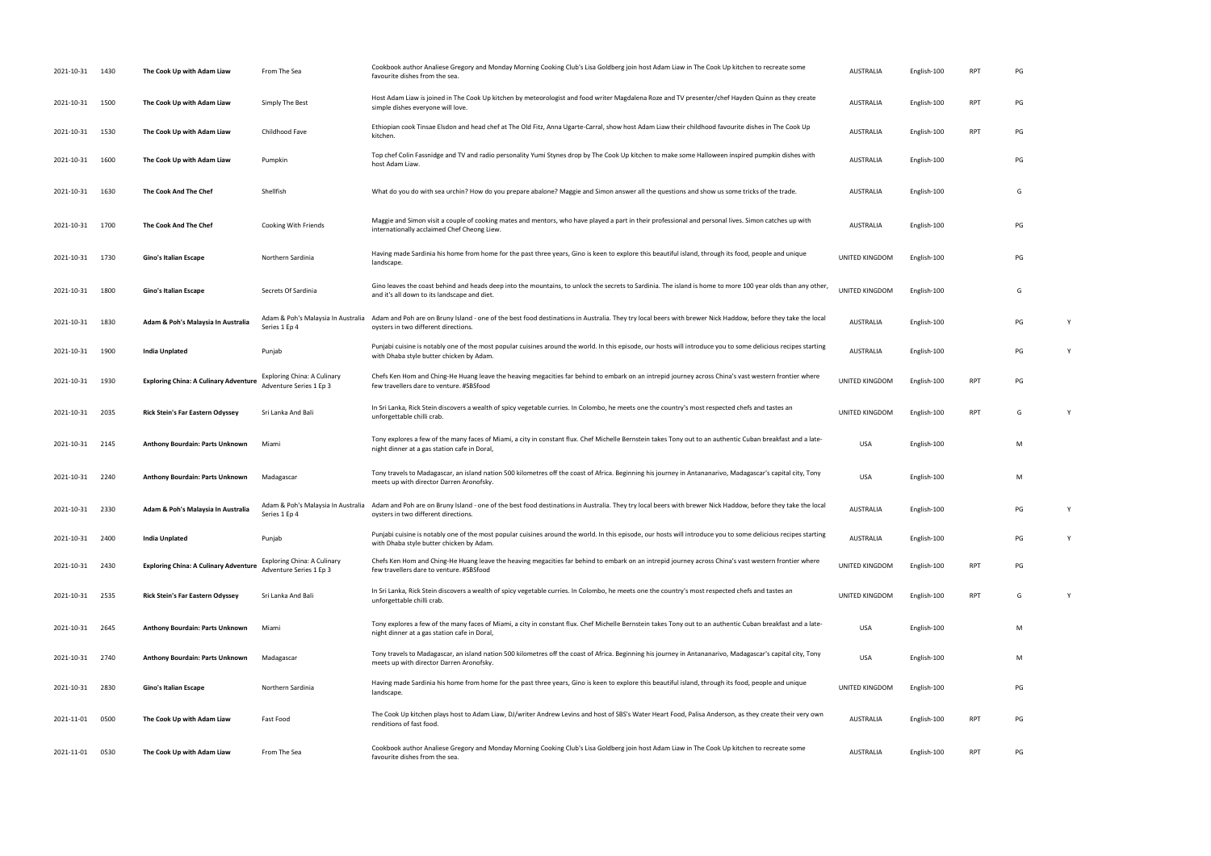| 2021-10-31      | 1430 | The Cook Up with Adam Liaw                   | From The Sea                                                  | Cookbook author Analiese Gregory and Monday Morning Cooking Club's Lisa Goldberg join host Adam Liaw in The Cook Up kitchen to recreate some<br>favourite dishes from the sea.                                                         | <b>AUSTRALIA</b>      | English-100 | RPT        | PG |   |
|-----------------|------|----------------------------------------------|---------------------------------------------------------------|----------------------------------------------------------------------------------------------------------------------------------------------------------------------------------------------------------------------------------------|-----------------------|-------------|------------|----|---|
| 2021-10-31      | 1500 | The Cook Up with Adam Liaw                   | Simply The Best                                               | Host Adam Liaw is joined in The Cook Up kitchen by meteorologist and food writer Magdalena Roze and TV presenter/chef Hayden Quinn as they create<br>simple dishes everyone will love.                                                 | AUSTRALIA             | English-100 | <b>RPT</b> | PG |   |
| 2021-10-31      | 1530 | The Cook Up with Adam Liaw                   | Childhood Fave                                                | Ethiopian cook Tinsae Elsdon and head chef at The Old Fitz, Anna Ugarte-Carral, show host Adam Liaw their childhood favourite dishes in The Cook Up<br>kitchen.                                                                        | AUSTRALIA             | English-100 | <b>RPT</b> | PG |   |
| 2021-10-31      | 1600 | The Cook Up with Adam Liaw                   | Pumpkin                                                       | Top chef Colin Fassnidge and TV and radio personality Yumi Stynes drop by The Cook Up kitchen to make some Halloween inspired pumpkin dishes with<br>host Adam Liaw.                                                                   | AUSTRALIA             | English-100 |            | PG |   |
| 2021-10-31      | 1630 | The Cook And The Chef                        | Shellfish                                                     | What do you do with sea urchin? How do you prepare abalone? Maggie and Simon answer all the questions and show us some tricks of the trade.                                                                                            | <b>AUSTRALIA</b>      | English-100 |            | G  |   |
| 2021-10-31 1700 |      | The Cook And The Chef                        | Cooking With Friends                                          | Maggie and Simon visit a couple of cooking mates and mentors, who have played a part in their professional and personal lives. Simon catches up with<br>internationally acclaimed Chef Cheong Liew.                                    | AUSTRALIA             | English-100 |            | PG |   |
| 2021-10-31      | 1730 | Gino's Italian Escape                        | Northern Sardinia                                             | Having made Sardinia his home from home for the past three years, Gino is keen to explore this beautiful island, through its food, people and unique<br>landscape.                                                                     | UNITED KINGDOM        | English-100 |            | PG |   |
| 2021-10-31      | 1800 | Gino's Italian Escape                        | Secrets Of Sardinia                                           | Gino leaves the coast behind and heads deep into the mountains, to unlock the secrets to Sardinia. The island is home to more 100 year olds than any other,<br>and it's all down to its landscape and diet.                            | <b>UNITED KINGDOM</b> | English-100 |            | G  |   |
| 2021-10-31      | 1830 | Adam & Poh's Malaysia In Australia           | Adam & Poh's Malaysia In Australia<br>Series 1 Ep 4           | Adam and Poh are on Bruny Island - one of the best food destinations in Australia. They try local beers with brewer Nick Haddow, before they take the local<br>oysters in two different directions.                                    | <b>AUSTRALIA</b>      | English-100 |            | PG | Y |
| 2021-10-31      | 1900 | India Unplated                               | Punjab                                                        | Punjabi cuisine is notably one of the most popular cuisines around the world. In this episode, our hosts will introduce you to some delicious recipes starting<br>with Dhaba style butter chicken by Adam.                             | AUSTRALIA             | English-100 |            | PG | Y |
| 2021-10-31      | 1930 | <b>Exploring China: A Culinary Adventure</b> | <b>Exploring China: A Culinary</b><br>Adventure Series 1 Ep 3 | Chefs Ken Hom and Ching-He Huang leave the heaving megacities far behind to embark on an intrepid journey across China's vast western frontier where<br>few travellers dare to venture. #SBSfood                                       | UNITED KINGDOM        | English-100 | <b>RPT</b> | PG |   |
| 2021-10-31      | 2035 | <b>Rick Stein's Far Eastern Odyssey</b>      | Sri Lanka And Bali                                            | In Sri Lanka, Rick Stein discovers a wealth of spicy vegetable curries. In Colombo, he meets one the country's most respected chefs and tastes an<br>unforgettable chilli crab.                                                        | UNITED KINGDOM        | English-100 | <b>RPT</b> | G  | Y |
| 2021-10-31      | 2145 | Anthony Bourdain: Parts Unknown              | Miami                                                         | Tony explores a few of the many faces of Miami, a city in constant flux. Chef Michelle Bernstein takes Tony out to an authentic Cuban breakfast and a late-<br>night dinner at a gas station cafe in Doral,                            | <b>USA</b>            | English-100 |            | M  |   |
| 2021-10-31      | 2240 | Anthony Bourdain: Parts Unknown              | Madagascar                                                    | Tony travels to Madagascar, an island nation 500 kilometres off the coast of Africa. Beginning his journey in Antananarivo, Madagascar's capital city, Tony<br>meets up with director Darren Aronofsky.                                | <b>USA</b>            | English-100 |            | M  |   |
| 2021-10-31 2330 |      | Adam & Poh's Malaysia In Australia           | Series 1 Ep 4                                                 | Adam & Poh's Malaysia In Australia Adam and Poh are on Bruny Island - one of the best food destinations in Australia. They try local beers with brewer Nick Haddow, before they take the local<br>oysters in two different directions. | AUSTRALIA             | English-100 |            | PG | Y |
| 2021-10-31      | 2400 | <b>India Unplated</b>                        | Punjab                                                        | Punjabi cuisine is notably one of the most popular cuisines around the world. In this episode, our hosts will introduce you to some delicious recipes starting<br>with Dhaba style butter chicken by Adam.                             | AUSTRALIA             | English-100 |            | PG | Y |
| 2021-10-31      | 2430 | <b>Exploring China: A Culinary Adventure</b> | Exploring China: A Culinary<br>Adventure Series 1 Ep 3        | Chefs Ken Hom and Ching-He Huang leave the heaving megacities far behind to embark on an intrepid journey across China's vast western frontier where<br>few travellers dare to venture. #SBSfood                                       | UNITED KINGDOM        | English-100 | <b>RPT</b> | PG |   |
| 2021-10-31      | 2535 | <b>Rick Stein's Far Eastern Odyssey</b>      | Sri Lanka And Bali                                            | In Sri Lanka, Rick Stein discovers a wealth of spicy vegetable curries. In Colombo, he meets one the country's most respected chefs and tastes an<br>unforgettable chilli crab.                                                        | UNITED KINGDOM        | English-100 | RPT        | G  |   |
| 2021-10-31      | 2645 | Anthony Bourdain: Parts Unknown              | Miami                                                         | Tony explores a few of the many faces of Miami, a city in constant flux. Chef Michelle Bernstein takes Tony out to an authentic Cuban breakfast and a late-<br>night dinner at a gas station cafe in Doral,                            | <b>USA</b>            | English-100 |            | M  |   |
| 2021-10-31      | 2740 | Anthony Bourdain: Parts Unknown              | Madagascar                                                    | Tony travels to Madagascar, an island nation 500 kilometres off the coast of Africa. Beginning his journey in Antananarivo, Madagascar's capital city, Tony<br>meets up with director Darren Aronofsky.                                | <b>USA</b>            | English-100 |            | M  |   |
| 2021-10-31      | 2830 | Gino's Italian Escape                        | Northern Sardinia                                             | Having made Sardinia his home from home for the past three years, Gino is keen to explore this beautiful island, through its food, people and unique<br>landscape.                                                                     | UNITED KINGDOM        | English-100 |            | PG |   |
| 2021-11-01      | 0500 | The Cook Up with Adam Liaw                   | Fast Food                                                     | The Cook Up kitchen plays host to Adam Liaw, DJ/writer Andrew Levins and host of SBS's Water Heart Food, Palisa Anderson, as they create their very own<br>renditions of fast food.                                                    | <b>AUSTRALIA</b>      | English-100 | RPT        | PG |   |
| 2021-11-01      | 0530 | The Cook Up with Adam Liaw                   | From The Sea                                                  | Cookbook author Analiese Gregory and Monday Morning Cooking Club's Lisa Goldberg join host Adam Liaw in The Cook Up kitchen to recreate some<br>favourite dishes from the sea.                                                         | <b>AUSTRALIA</b>      | English-100 | <b>RPT</b> | PG |   |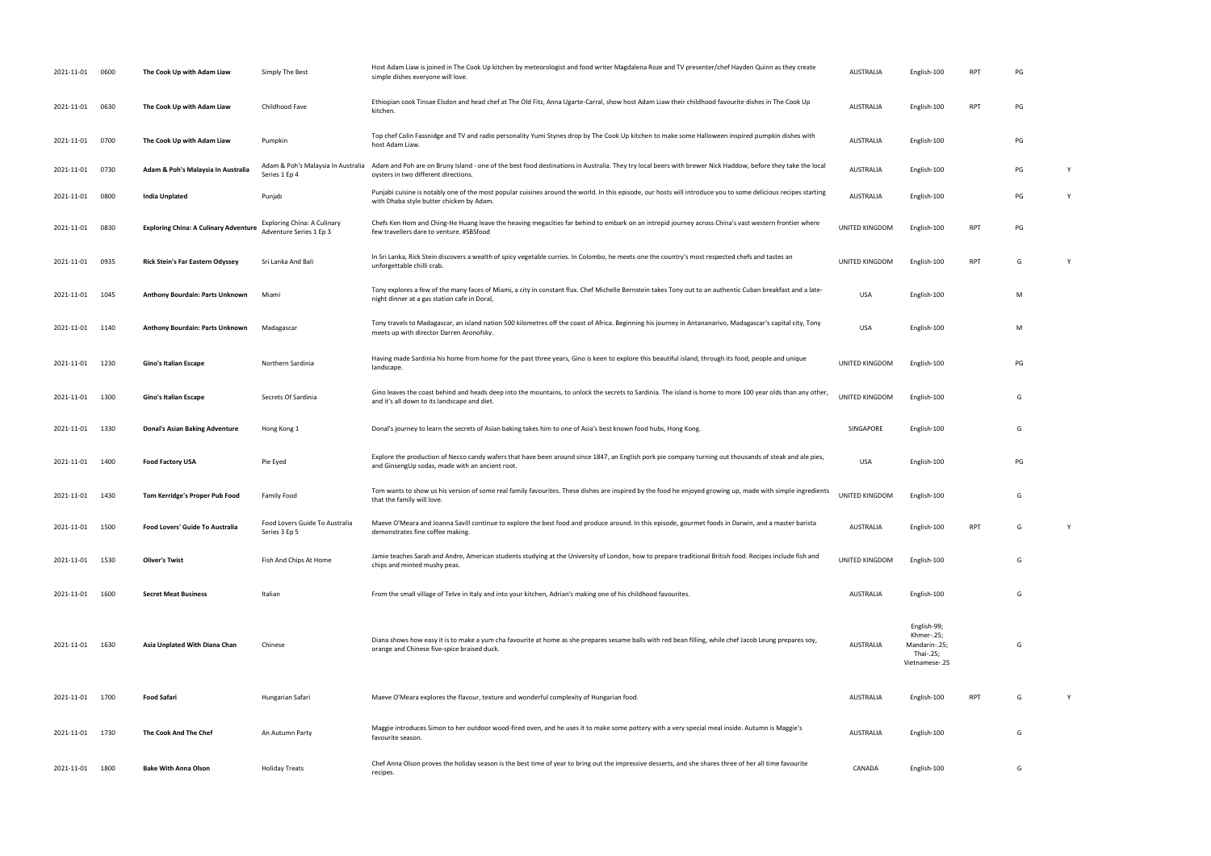| 2021-11-01      | 0600 | The Cook Up with Adam Liaw                   | Simply The Best                                               | Host Adam Liaw is joined in The Cook Up kitchen by meteorologist and food writer Magdalena Roze and TV presenter/chef Hayden Quinn as they create<br>simple dishes everyone will love.                      | <b>AUSTRALIA</b> | English-100                                                               | <b>RPT</b> | PG |   |
|-----------------|------|----------------------------------------------|---------------------------------------------------------------|-------------------------------------------------------------------------------------------------------------------------------------------------------------------------------------------------------------|------------------|---------------------------------------------------------------------------|------------|----|---|
| 2021-11-01      | 0630 | The Cook Up with Adam Liaw                   | Childhood Fave                                                | Ethiopian cook Tinsae Elsdon and head chef at The Old Fitz, Anna Ugarte-Carral, show host Adam Liaw their childhood favourite dishes in The Cook Up<br>kitchen.                                             | AUSTRALIA        | English-100                                                               | <b>RPT</b> | PG |   |
| 2021-11-01      | 0700 | The Cook Up with Adam Liaw                   | Pumpkin                                                       | Top chef Colin Fassnidge and TV and radio personality Yumi Stynes drop by The Cook Up kitchen to make some Halloween inspired pumpkin dishes with<br>host Adam Liaw.                                        | AUSTRALIA        | English-100                                                               |            | PG |   |
| 2021-11-01      | 0730 | Adam & Poh's Malaysia In Australia           | Adam & Poh's Malaysia In Australia<br>Series 1 Ep 4           | Adam and Poh are on Bruny Island - one of the best food destinations in Australia. They try local beers with brewer Nick Haddow, before they take the local<br>oysters in two different directions.         | AUSTRALIA        | English-100                                                               |            | PG | Y |
| 2021-11-01      | 0800 | India Unplated                               | Punjab                                                        | Punjabi cuisine is notably one of the most popular cuisines around the world. In this episode, our hosts will introduce you to some delicious recipes starting<br>with Dhaba style butter chicken by Adam.  | AUSTRALIA        | English-100                                                               |            | PG | Y |
| 2021-11-01      | 0830 | <b>Exploring China: A Culinary Adventure</b> | <b>Exploring China: A Culinary</b><br>Adventure Series 1 Ep 3 | Chefs Ken Hom and Ching-He Huang leave the heaving megacities far behind to embark on an intrepid journey across China's vast western frontier where<br>few travellers dare to venture. #SBSfood            | UNITED KINGDOM   | English-100                                                               | <b>RPT</b> | PG |   |
| 2021-11-01      | 0935 | <b>Rick Stein's Far Eastern Odyssey</b>      | Sri Lanka And Bali                                            | In Sri Lanka, Rick Stein discovers a wealth of spicy vegetable curries. In Colombo, he meets one the country's most respected chefs and tastes an<br>unforgettable chilli crab.                             | UNITED KINGDOM   | English-100                                                               | <b>RPT</b> | G  | Y |
| 2021-11-01      | 1045 | Anthony Bourdain: Parts Unknown              | Miami                                                         | Tony explores a few of the many faces of Miami, a city in constant flux. Chef Michelle Bernstein takes Tony out to an authentic Cuban breakfast and a late-<br>night dinner at a gas station cafe in Doral, | <b>USA</b>       | English-100                                                               |            | M  |   |
| 2021-11-01      | 1140 | Anthony Bourdain: Parts Unknown              | Madagascar                                                    | Tony travels to Madagascar, an island nation 500 kilometres off the coast of Africa. Beginning his journey in Antananarivo, Madagascar's capital city, Tony<br>meets up with director Darren Aronofsky.     | <b>USA</b>       | English-100                                                               |            | M  |   |
| 2021-11-01      | 1230 | Gino's Italian Escape                        | Northern Sardinia                                             | Having made Sardinia his home from home for the past three years, Gino is keen to explore this beautiful island, through its food, people and unique<br>landscape.                                          | UNITED KINGDOM   | English-100                                                               |            | PG |   |
| 2021-11-01      | 1300 | Gino's Italian Escape                        | Secrets Of Sardinia                                           | Gino leaves the coast behind and heads deep into the mountains, to unlock the secrets to Sardinia. The island is home to more 100 year olds than any other,<br>and it's all down to its landscape and diet. | UNITED KINGDOM   | English-100                                                               |            | G  |   |
| 2021-11-01      | 1330 | <b>Donal's Asian Baking Adventure</b>        | Hong Kong 1                                                   | Donal's journey to learn the secrets of Asian baking takes him to one of Asia's best known food hubs, Hong Kong.                                                                                            | SINGAPORE        | English-100                                                               |            | G  |   |
| 2021-11-01      | 1400 | <b>Food Factory USA</b>                      | Pie Eyed                                                      | Explore the production of Necco candy wafers that have been around since 1847, an English pork pie company turning out thousands of steak and ale pies,<br>and GinsengUp sodas, made with an ancient root.  | <b>USA</b>       | English-100                                                               |            | PG |   |
| 2021-11-01      | 1430 | Tom Kerridge's Proper Pub Food               | Family Food                                                   | Tom wants to show us his version of some real family favourites. These dishes are inspired by the food he enjoyed growing up, made with simple ingredients<br>that the family will love.                    | UNITED KINGDOM   | English-100                                                               |            | G  |   |
| 2021-11-01      | 1500 | Food Lovers' Guide To Australia              | Food Lovers Guide To Australia<br>Series 3 Ep 5               | Maeve O'Meara and Joanna Savill continue to explore the best food and produce around. In this episode, gourmet foods in Darwin, and a master barista<br>demonstrates fine coffee making.                    | AUSTRALIA        | English-100                                                               | <b>RPT</b> | G  |   |
| 2021-11-01      | 1530 | <b>Oliver's Twist</b>                        | Fish And Chips At Home                                        | Jamie teaches Sarah and Andre, American students studying at the University of London, how to prepare traditional British food. Recipes include fish and<br>chips and minted mushy peas.                    | UNITED KINGDOM   | English-100                                                               |            | G  |   |
| 2021-11-01      | 1600 | <b>Secret Meat Business</b>                  | Italian                                                       | From the small village of Telve in Italy and into your kitchen, Adrian's making one of his childhood favourites.                                                                                            | AUSTRALIA        | English-100                                                               |            | G  |   |
| 2021-11-01      | 1630 | Asia Unplated With Diana Chan                | Chinese                                                       | Diana shows how easy it is to make a yum cha favourite at home as she prepares sesame balls with red bean filling, while chef Jacob Leung prepares soy,<br>orange and Chinese five-spice braised duck.      | AUSTRALIA        | English-99;<br>Khmer-.25;<br>Mandarin-.25;<br>Thai-.25;<br>Vietnamese-.25 |            | G  |   |
| 2021-11-01 1700 |      | <b>Food Safari</b>                           | Hungarian Safari                                              | Maeve O'Meara explores the flavour, texture and wonderful complexity of Hungarian food.                                                                                                                     | <b>AUSTRALIA</b> | English-100                                                               | <b>RPT</b> | G  | Y |
| 2021-11-01 1730 |      | The Cook And The Chef                        | An Autumn Party                                               | Maggie introduces Simon to her outdoor wood-fired oven, and he uses it to make some pottery with a very special meal inside. Autumn is Maggie's<br>favourite season.                                        | <b>AUSTRALIA</b> | English-100                                                               |            | G  |   |
| 2021-11-01 1800 |      | <b>Bake With Anna Olson</b>                  | <b>Holiday Treats</b>                                         | Chef Anna Olson proves the holiday season is the best time of year to bring out the impressive desserts, and she shares three of her all time favourite<br>recipes.                                         | CANADA           | English-100                                                               |            | G  |   |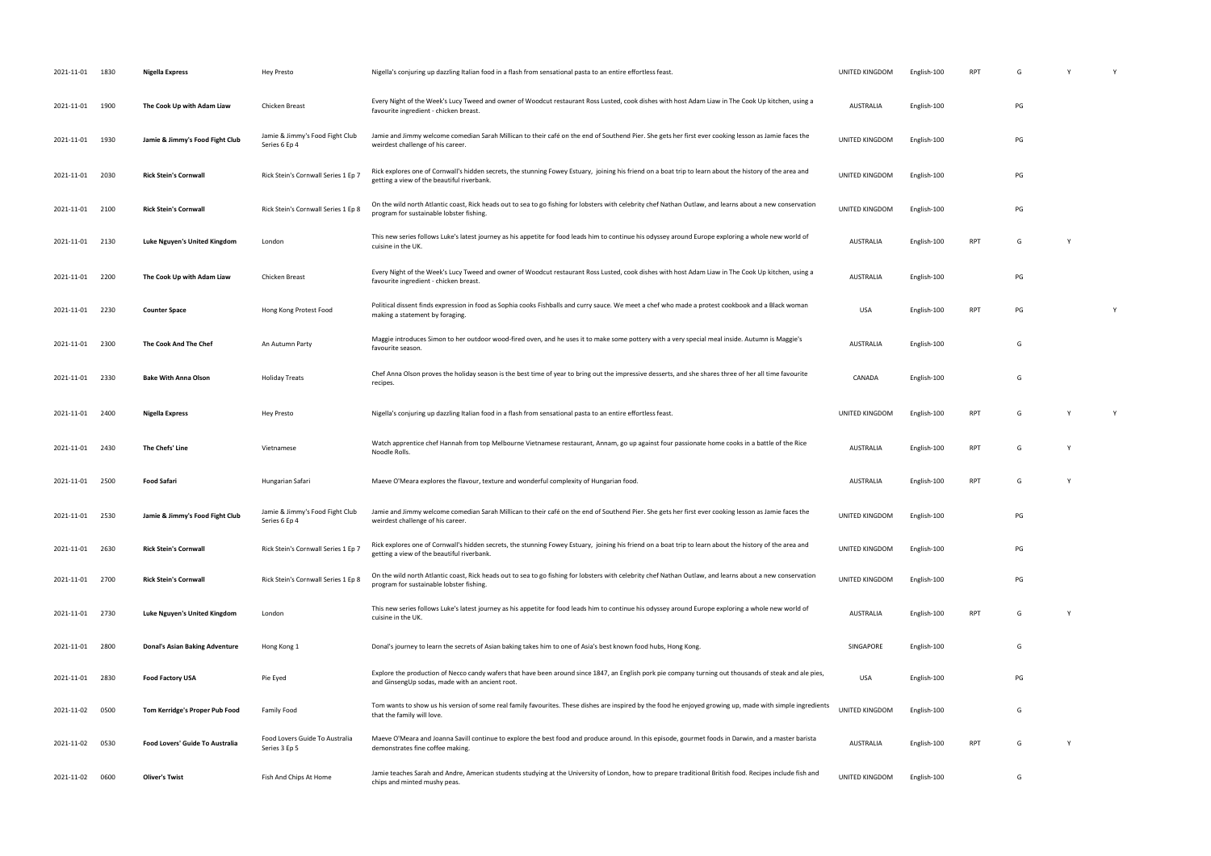| 2021-11-01 1830 |      | Nigella Express                       | <b>Hey Presto</b>                                | Nigella's conjuring up dazzling Italian food in a flash from sensational pasta to an entire effortless feast.                                                                                              | UNITED KINGDOM        | English-100 | <b>RPT</b> |    |              |   |
|-----------------|------|---------------------------------------|--------------------------------------------------|------------------------------------------------------------------------------------------------------------------------------------------------------------------------------------------------------------|-----------------------|-------------|------------|----|--------------|---|
| 2021-11-01      | 1900 | The Cook Up with Adam Liaw            | Chicken Breast                                   | Every Night of the Week's Lucy Tweed and owner of Woodcut restaurant Ross Lusted, cook dishes with host Adam Liaw in The Cook Up kitchen, using a<br>favourite ingredient - chicken breast.                | <b>AUSTRALIA</b>      | English-100 |            | PG |              |   |
| 2021-11-01 1930 |      | Jamie & Jimmy's Food Fight Club       | Jamie & Jimmy's Food Fight Club<br>Series 6 Ep 4 | Jamie and Jimmy welcome comedian Sarah Millican to their café on the end of Southend Pier. She gets her first ever cooking lesson as Jamie faces the<br>weirdest challenge of his career.                  | UNITED KINGDOM        | English-100 |            | PG |              |   |
| 2021-11-01 2030 |      | <b>Rick Stein's Cornwall</b>          | Rick Stein's Cornwall Series 1 Ep 7              | Rick explores one of Cornwall's hidden secrets, the stunning Fowey Estuary, joining his friend on a boat trip to learn about the history of the area and<br>getting a view of the beautiful riverbank      | UNITED KINGDOM        | English-100 |            | PG |              |   |
| 2021-11-01 2100 |      | <b>Rick Stein's Cornwall</b>          | Rick Stein's Cornwall Series 1 Ep 8              | On the wild north Atlantic coast, Rick heads out to sea to go fishing for lobsters with celebrity chef Nathan Outlaw, and learns about a new conservation<br>program for sustainable lobster fishing.      | UNITED KINGDOM        | English-100 |            | PG |              |   |
| 2021-11-01 2130 |      | Luke Nguyen's United Kingdom          | London                                           | This new series follows Luke's latest journey as his appetite for food leads him to continue his odyssey around Europe exploring a whole new world of<br>cuisine in the UK.                                | AUSTRALIA             | English-100 | <b>RPT</b> | G  | <sup>V</sup> |   |
| 2021-11-01 2200 |      | The Cook Up with Adam Liaw            | Chicken Breast                                   | Every Night of the Week's Lucy Tweed and owner of Woodcut restaurant Ross Lusted, cook dishes with host Adam Liaw in The Cook Up kitchen, using a<br>favourite ingredient - chicken breast.                | AUSTRALIA             | English-100 |            | PG |              |   |
| 2021-11-01      | 2230 | <b>Counter Space</b>                  | Hong Kong Protest Food                           | Political dissent finds expression in food as Sophia cooks Fishballs and curry sauce. We meet a chef who made a protest cookbook and a Black woman<br>making a statement by foraging.                      | USA                   | English-100 | <b>RPT</b> | PG |              | Y |
| 2021-11-01 2300 |      | The Cook And The Chef                 | An Autumn Party                                  | Maggie introduces Simon to her outdoor wood-fired oven, and he uses it to make some pottery with a very special meal inside. Autumn is Maggie's<br>favourite season.                                       | AUSTRALIA             | English-100 |            | G  |              |   |
| 2021-11-01 2330 |      | <b>Bake With Anna Olson</b>           | <b>Holiday Treats</b>                            | Chef Anna Olson proves the holiday season is the best time of year to bring out the impressive desserts, and she shares three of her all time favourite<br>recipes.                                        | CANADA                | English-100 |            | G  |              |   |
| 2021-11-01 2400 |      | <b>Nigella Express</b>                | <b>Hey Presto</b>                                | Nigella's conjuring up dazzling Italian food in a flash from sensational pasta to an entire effortless feast.                                                                                              | UNITED KINGDOM        | English-100 | <b>RPT</b> |    | Y            | Y |
| 2021-11-01 2430 |      | The Chefs' Line                       | Vietnamese                                       | Watch apprentice chef Hannah from top Melbourne Vietnamese restaurant, Annam, go up against four passionate home cooks in a battle of the Rice<br>Noodle Rolls.                                            | <b>AUSTRALIA</b>      | English-100 | <b>RPT</b> | G  | -Y           |   |
| 2021-11-01 2500 |      | <b>Food Safari</b>                    | Hungarian Safari                                 | Maeve O'Meara explores the flavour, texture and wonderful complexity of Hungarian food.                                                                                                                    | <b>AUSTRALIA</b>      | English-100 | <b>RPT</b> | G  |              |   |
| 2021-11-01 2530 |      | Jamie & Jimmy's Food Fight Club       | Jamie & Jimmy's Food Fight Club<br>Series 6 Ep 4 | Jamie and Jimmy welcome comedian Sarah Millican to their café on the end of Southend Pier. She gets her first ever cooking lesson as Jamie faces the<br>weirdest challenge of his career.                  | UNITED KINGDOM        | English-100 |            | PG |              |   |
| 2021-11-01 2630 |      | <b>Rick Stein's Cornwall</b>          | Rick Stein's Cornwall Series 1 Ep 7              | Rick explores one of Cornwall's hidden secrets, the stunning Fowey Estuary, joining his friend on a boat trip to learn about the history of the area and<br>getting a view of the beautiful riverbank.     | UNITED KINGDOM        | English-100 |            | PG |              |   |
| 2021-11-01 2700 |      | <b>Rick Stein's Cornwall</b>          | Rick Stein's Cornwall Series 1 Ep 8              | On the wild north Atlantic coast, Rick heads out to sea to go fishing for lobsters with celebrity chef Nathan Outlaw, and learns about a new conservation<br>program for sustainable lobster fishing.      | <b>UNITED KINGDOM</b> | English-100 |            | PG |              |   |
| 2021-11-01 2730 |      | <b>Luke Nguyen's United Kingdom</b>   | London                                           | This new series follows Luke's latest journey as his appetite for food leads him to continue his odyssey around Europe exploring a whole new world of<br>cuisine in the UK.                                | <b>AUSTRALIA</b>      | English-100 | <b>RPT</b> | G  | Y            |   |
| 2021-11-01 2800 |      | <b>Donal's Asian Baking Adventure</b> | Hong Kong 1                                      | Donal's journey to learn the secrets of Asian baking takes him to one of Asia's best known food hubs, Hong Kong.                                                                                           | SINGAPORE             | English-100 |            | G  |              |   |
| 2021-11-01 2830 |      | <b>Food Factory USA</b>               | Pie Eyed                                         | Explore the production of Necco candy wafers that have been around since 1847, an English pork pie company turning out thousands of steak and ale pies,<br>and GinsengUp sodas, made with an ancient root. | USA                   | English-100 |            | PG |              |   |
| 2021-11-02 0500 |      | Tom Kerridge's Proper Pub Food        | <b>Family Food</b>                               | Tom wants to show us his version of some real family favourites. These dishes are inspired by the food he enjoyed growing up, made with simple ingredients<br>that the family will love.                   | UNITED KINGDOM        | English-100 |            | G  |              |   |
| 2021-11-02      | 0530 | Food Lovers' Guide To Australia       | Food Lovers Guide To Australia<br>Series 3 Ep 5  | Maeve O'Meara and Joanna Savill continue to explore the best food and produce around. In this episode, gourmet foods in Darwin, and a master barista<br>demonstrates fine coffee making.                   | <b>AUSTRALIA</b>      | English-100 | <b>RPT</b> | G  | Y            |   |
| 2021-11-02 0600 |      | <b>Oliver's Twist</b>                 | Fish And Chips At Home                           | Jamie teaches Sarah and Andre, American students studying at the University of London, how to prepare traditional British food. Recipes include fish and<br>chips and minted mushy peas.                   | UNITED KINGDOM        | English-100 |            | G  |              |   |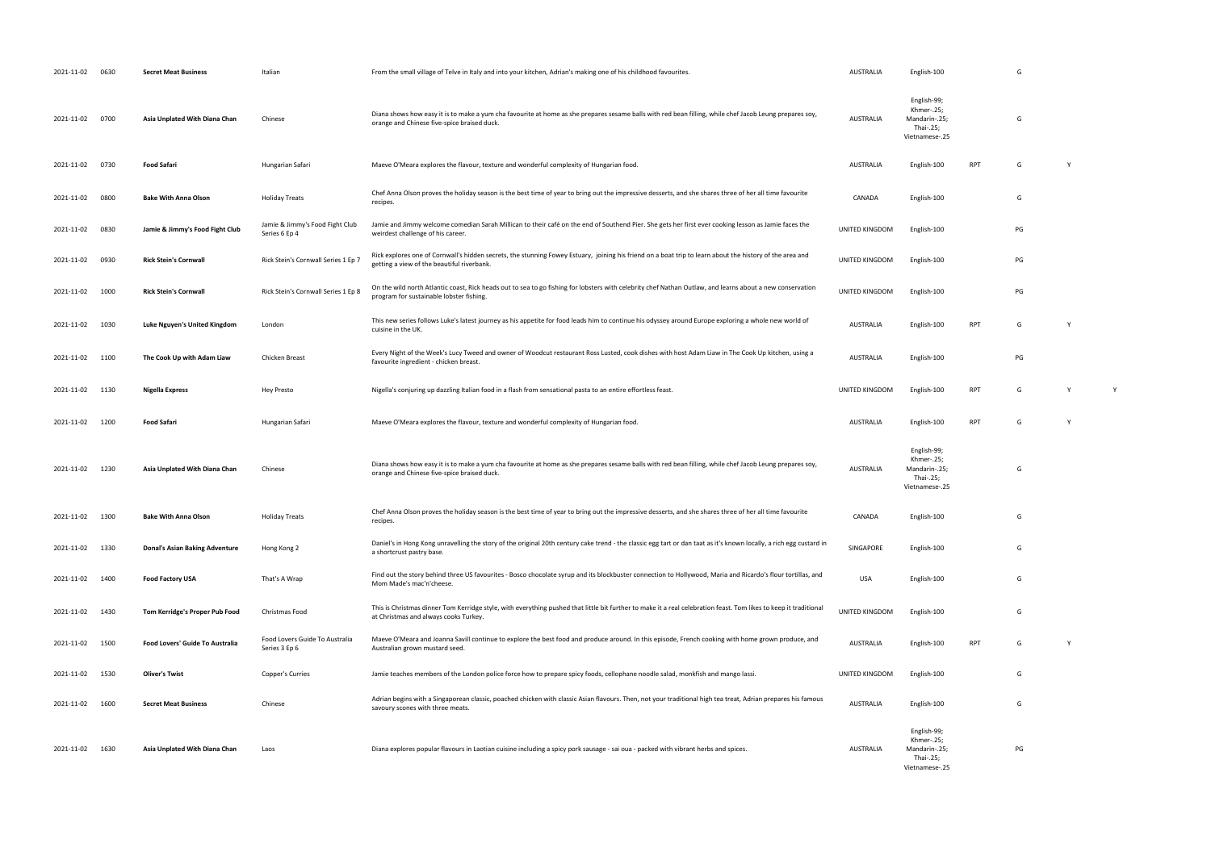| 2021-11-02 0630 |      | <b>Secret Meat Business</b>           | Italian                                          | From the small village of Telve in Italy and into your kitchen, Adrian's making one of his childhood favourites.                                                                                           | <b>AUSTRALIA</b> | English-100                                                               |            | G  |   |
|-----------------|------|---------------------------------------|--------------------------------------------------|------------------------------------------------------------------------------------------------------------------------------------------------------------------------------------------------------------|------------------|---------------------------------------------------------------------------|------------|----|---|
| 2021-11-02 0700 |      | Asia Unplated With Diana Chan         | Chinese                                          | Diana shows how easy it is to make a yum cha favourite at home as she prepares sesame balls with red bean filling, while chef Jacob Leung prepares soy,<br>orange and Chinese five-spice braised duck.     | <b>AUSTRALIA</b> | English-99;<br>Khmer-.25;<br>Mandarin-.25;<br>Thai-.25;<br>Vietnamese-.25 |            | G  |   |
| 2021-11-02 0730 |      | <b>Food Safari</b>                    | Hungarian Safari                                 | Maeve O'Meara explores the flavour, texture and wonderful complexity of Hungarian food.                                                                                                                    | <b>AUSTRALIA</b> | English-100                                                               | RPT        | G  |   |
| 2021-11-02      | 0800 | <b>Bake With Anna Olson</b>           | <b>Holiday Treats</b>                            | Chef Anna Olson proves the holiday season is the best time of year to bring out the impressive desserts, and she shares three of her all time favourite<br>recipes.                                        | CANADA           | English-100                                                               |            | G  |   |
| 2021-11-02      | 0830 | Jamie & Jimmy's Food Fight Club       | Jamie & Jimmy's Food Fight Club<br>Series 6 Ep 4 | Jamie and Jimmy welcome comedian Sarah Millican to their café on the end of Southend Pier. She gets her first ever cooking lesson as Jamie faces the<br>weirdest challenge of his career.                  | UNITED KINGDOM   | English-100                                                               |            | PG |   |
| 2021-11-02 0930 |      | <b>Rick Stein's Cornwall</b>          | Rick Stein's Cornwall Series 1 Ep 7              | Rick explores one of Cornwall's hidden secrets, the stunning Fowey Estuary, joining his friend on a boat trip to learn about the history of the area and<br>getting a view of the beautiful riverbank.     | UNITED KINGDOM   | English-100                                                               |            | PG |   |
| 2021-11-02      | 1000 | <b>Rick Stein's Cornwall</b>          | Rick Stein's Cornwall Series 1 Ep 8              | On the wild north Atlantic coast, Rick heads out to sea to go fishing for lobsters with celebrity chef Nathan Outlaw, and learns about a new conservation<br>program for sustainable lobster fishing.      | UNITED KINGDOM   | English-100                                                               |            | PG |   |
| 2021-11-02      | 1030 | Luke Nguyen's United Kingdom          | London                                           | This new series follows Luke's latest journey as his appetite for food leads him to continue his odyssey around Europe exploring a whole new world of<br>cuisine in the UK.                                | <b>AUSTRALIA</b> | English-100                                                               | <b>RPT</b> | G  |   |
| 2021-11-02 1100 |      | The Cook Up with Adam Liaw            | Chicken Breast                                   | Every Night of the Week's Lucy Tweed and owner of Woodcut restaurant Ross Lusted, cook dishes with host Adam Liaw in The Cook Up kitchen, using a<br>favourite ingredient - chicken breast.                | <b>AUSTRALIA</b> | English-100                                                               |            | PG |   |
| 2021-11-02 1130 |      | Nigella Express                       | Hey Presto                                       | Nigella's conjuring up dazzling Italian food in a flash from sensational pasta to an entire effortless feast.                                                                                              | UNITED KINGDOM   | English-100                                                               | <b>RPT</b> | G  | Y |
| 2021-11-02      | 1200 | <b>Food Safari</b>                    | Hungarian Safari                                 | Maeve O'Meara explores the flavour, texture and wonderful complexity of Hungarian food.                                                                                                                    | <b>AUSTRALIA</b> | English-100                                                               | <b>RPT</b> | G  |   |
| 2021-11-02      | 1230 | Asia Unplated With Diana Chan         | Chinese                                          | Diana shows how easy it is to make a yum cha favourite at home as she prepares sesame balls with red bean filling, while chef Jacob Leung prepares soy,<br>orange and Chinese five-spice braised duck.     | <b>AUSTRALIA</b> | English-99;<br>Khmer-.25;<br>Mandarin-.25;<br>Thai-.25;<br>Vietnamese-.25 |            | G  |   |
| 2021-11-02      | 1300 | <b>Bake With Anna Olson</b>           | <b>Holiday Treats</b>                            | Chef Anna Olson proves the holiday season is the best time of year to bring out the impressive desserts, and she shares three of her all time favourite<br>recipes.                                        | CANADA           | English-100                                                               |            | G  |   |
| 2021-11-02 1330 |      | <b>Donal's Asian Baking Adventure</b> | Hong Kong 2                                      | Daniel's in Hong Kong unravelling the story of the original 20th century cake trend - the classic egg tart or dan taat as it's known locally, a rich egg custard in<br>a shortcrust pastry base.           | SINGAPORE        | English-100                                                               |            | G  |   |
| 2021-11-02 1400 |      | <b>Food Factory USA</b>               | That's A Wrap                                    | Find out the story behind three US favourites - Bosco chocolate syrup and its blockbuster connection to Hollywood, Maria and Ricardo's flour tortillas, and<br>Mom Made's mac'n'cheese.                    | USA              | English-100                                                               |            | G  |   |
| 2021-11-02 1430 |      | Tom Kerridge's Proper Pub Food        | Christmas Food                                   | This is Christmas dinner Tom Kerridge style, with everything pushed that little bit further to make it a real celebration feast. Tom likes to keep it traditional<br>at Christmas and always cooks Turkey. | UNITED KINGDOM   | English-100                                                               |            | G  |   |
| 2021-11-02 1500 |      | Food Lovers' Guide To Australia       | Food Lovers Guide To Australia<br>Series 3 Ep 6  | Maeve O'Meara and Joanna Savill continue to explore the best food and produce around. In this episode, French cooking with home grown produce, and<br>Australian grown mustard seed.                       | <b>AUSTRALIA</b> | English-100                                                               | RPT        | G  |   |
| 2021-11-02 1530 |      | <b>Oliver's Twist</b>                 | Copper's Curries                                 | Jamie teaches members of the London police force how to prepare spicy foods, cellophane noodle salad, monkfish and mango lassi.                                                                            | UNITED KINGDOM   | English-100                                                               |            | G  |   |
| 2021-11-02      | 1600 | <b>Secret Meat Business</b>           | Chinese                                          | Adrian begins with a Singaporean classic, poached chicken with classic Asian flavours. Then, not your traditional high tea treat, Adrian prepares his famous<br>savoury scones with three meats.           | <b>AUSTRALIA</b> | English-100                                                               |            | G  |   |
|                 |      |                                       |                                                  |                                                                                                                                                                                                            |                  | English-99;<br>Khmer-.25;                                                 |            |    |   |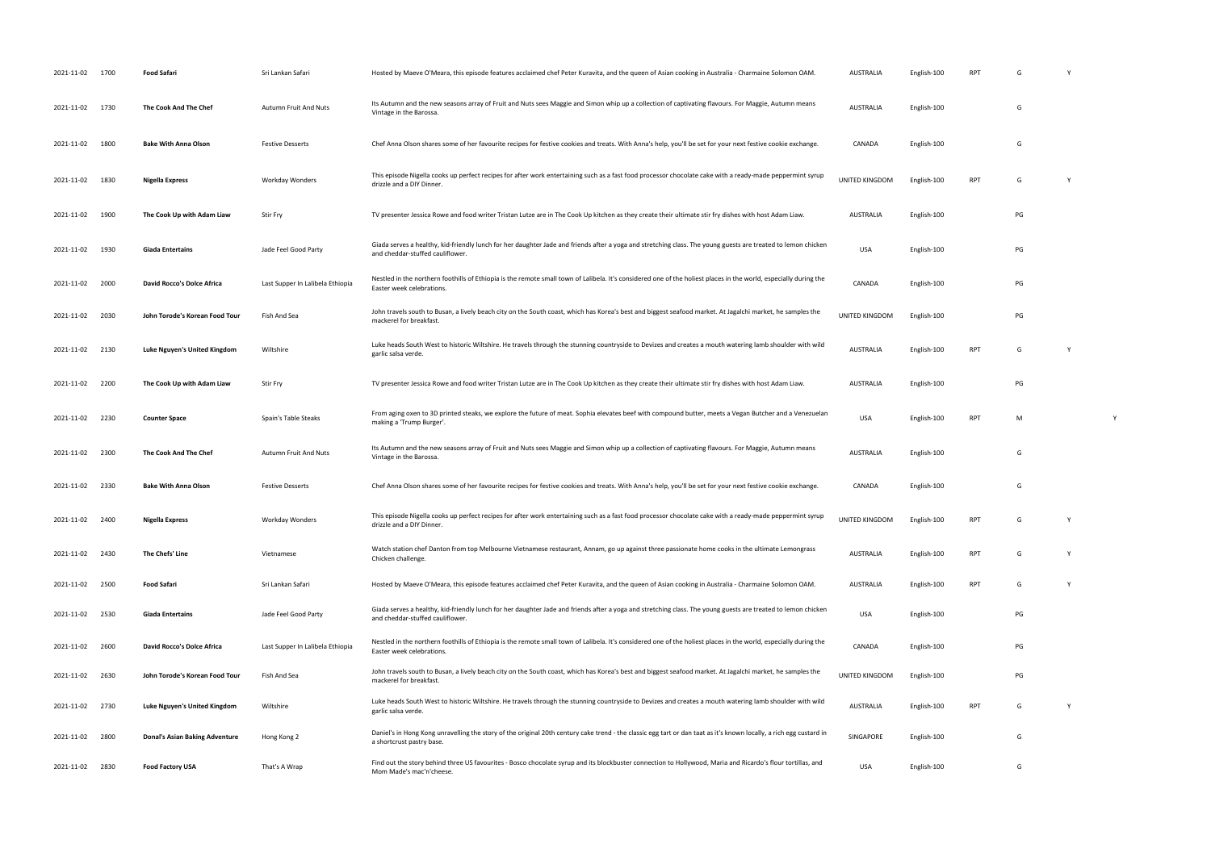| 2021-11-02      | 1700 | <b>Food Safari</b>                    | Sri Lankan Safari                | Hosted by Maeve O'Meara, this episode features acclaimed chef Peter Kuravita, and the queen of Asian cooking in Australia - Charmaine Solomon OAM.                                                | AUSTRALIA                  | English-100 | RPT        | G  |  |
|-----------------|------|---------------------------------------|----------------------------------|---------------------------------------------------------------------------------------------------------------------------------------------------------------------------------------------------|----------------------------|-------------|------------|----|--|
| 2021-11-02 1730 |      | The Cook And The Chef                 | <b>Autumn Fruit And Nuts</b>     | Its Autumn and the new seasons array of Fruit and Nuts sees Maggie and Simon whip up a collection of captivating flavours. For Maggie, Autumn means<br>Vintage in the Barossa.                    | <b>AUSTRALIA</b>           | English-100 |            | G  |  |
| 2021-11-02      | 1800 | <b>Bake With Anna Olson</b>           | <b>Festive Desserts</b>          | Chef Anna Olson shares some of her favourite recipes for festive cookies and treats. With Anna's help, you'll be set for your next festive cookie exchange.                                       | CANADA                     | English-100 |            | G  |  |
| 2021-11-02      | 1830 | Nigella Express                       | Workday Wonders                  | This episode Nigella cooks up perfect recipes for after work entertaining such as a fast food processor chocolate cake with a ready-made peppermint syrup<br>drizzle and a DIY Dinner.            | UNITED KINGDOM             | English-100 | <b>RPT</b> | G  |  |
| 2021-11-02      | 1900 | The Cook Up with Adam Liaw            | <b>Stir Fry</b>                  | TV presenter Jessica Rowe and food writer Tristan Lutze are in The Cook Up kitchen as they create their ultimate stir fry dishes with host Adam Liaw.                                             | <b>AUSTRALIA</b>           | English-100 |            | PG |  |
| 2021-11-02      | 1930 | <b>Giada Entertains</b>               | Jade Feel Good Party             | Giada serves a healthy, kid-friendly lunch for her daughter Jade and friends after a yoga and stretching class. The young guests are treated to lemon chicken<br>and cheddar-stuffed cauliflower. | <b>USA</b>                 | English-100 |            | PG |  |
| 2021-11-02      | 2000 | David Rocco's Dolce Africa            | Last Supper In Lalibela Ethiopia | Nestled in the northern foothills of Ethiopia is the remote small town of Lalibela. It's considered one of the holiest places in the world, especially during the<br>Easter week celebrations.    | CANADA                     | English-100 |            | PG |  |
| 2021-11-02      | 2030 | John Torode's Korean Food Tour        | Fish And Sea                     | John travels south to Busan, a lively beach city on the South coast, which has Korea's best and biggest seafood market. At Jagalchi market, he samples the<br>mackerel for breakfast.             | UNITED KINGDOM             | English-100 |            | PG |  |
| 2021-11-02 2130 |      | Luke Nguyen's United Kingdom          | Wiltshire                        | Luke heads South West to historic Wiltshire. He travels through the stunning countryside to Devizes and creates a mouth watering lamb shoulder with wild<br>garlic salsa verde.                   | AUSTRALIA                  | English-100 | <b>RPT</b> | G  |  |
| 2021-11-02      | 2200 | The Cook Up with Adam Liaw            | <b>Stir Fry</b>                  | TV presenter Jessica Rowe and food writer Tristan Lutze are in The Cook Up kitchen as they create their ultimate stir fry dishes with host Adam Liaw.                                             | AUSTRALIA                  | English-100 |            | PG |  |
| 2021-11-02      | 2230 | <b>Counter Space</b>                  | Spain's Table Steaks             | From aging oxen to 3D printed steaks, we explore the future of meat. Sophia elevates beef with compound butter, meets a Vegan Butcher and a Venezuelan<br>making a 'Trump Burger'.                | <b>USA</b>                 | English-100 | RPT        | M  |  |
| 2021-11-02 2300 |      | The Cook And The Chef                 | <b>Autumn Fruit And Nuts</b>     | Its Autumn and the new seasons array of Fruit and Nuts sees Maggie and Simon whip up a collection of captivating flavours. For Maggie, Autumn means<br>Vintage in the Barossa.                    | <b>AUSTRALIA</b>           | English-100 |            | G  |  |
| 2021-11-02 2330 |      | <b>Bake With Anna Olson</b>           | <b>Festive Desserts</b>          | Chef Anna Olson shares some of her favourite recipes for festive cookies and treats. With Anna's help, you'll be set for your next festive cookie exchange.                                       | CANADA                     | English-100 |            | G  |  |
| 2021-11-02 2400 |      | <b>Nigella Express</b>                | Workday Wonders                  | This episode Nigella cooks up perfect recipes for after work entertaining such as a fast food processor chocolate cake with a ready-made peppermint syrup<br>drizzle and a DIY Dinner.            | UNITED KINGDOM English-100 |             | RPT        |    |  |
| 2021-11-02 2430 |      | The Chefs' Line                       | Vietnamese                       | Watch station chef Danton from top Melbourne Vietnamese restaurant, Annam, go up against three passionate home cooks in the ultimate Lemongrass<br>Chicken challenge.                             | <b>AUSTRALIA</b>           | English-100 | <b>RPT</b> | G  |  |
| 2021-11-02      | 2500 | <b>Food Safari</b>                    | Sri Lankan Safari                | Hosted by Maeve O'Meara, this episode features acclaimed chef Peter Kuravita, and the queen of Asian cooking in Australia - Charmaine Solomon OAM.                                                | <b>AUSTRALIA</b>           | English-100 | <b>RPT</b> | G  |  |
| 2021-11-02 2530 |      | <b>Giada Entertains</b>               | Jade Feel Good Party             | Giada serves a healthy, kid-friendly lunch for her daughter Jade and friends after a yoga and stretching class. The young guests are treated to lemon chicken<br>and cheddar-stuffed cauliflower. | <b>USA</b>                 | English-100 |            | PG |  |
| 2021-11-02      | 2600 | David Rocco's Dolce Africa            | Last Supper In Lalibela Ethiopia | Nestled in the northern foothills of Ethiopia is the remote small town of Lalibela. It's considered one of the holiest places in the world, especially during the<br>Easter week celebrations.    | CANADA                     | English-100 |            | PG |  |
| 2021-11-02      | 2630 | John Torode's Korean Food Tour        | Fish And Sea                     | John travels south to Busan, a lively beach city on the South coast, which has Korea's best and biggest seafood market. At Jagalchi market, he samples the<br>mackerel for breakfast.             | UNITED KINGDOM             | English-100 |            | PG |  |
| 2021-11-02      | 2730 | Luke Nguyen's United Kingdom          | Wiltshire                        | Luke heads South West to historic Wiltshire. He travels through the stunning countryside to Devizes and creates a mouth watering lamb shoulder with wild<br>garlic salsa verde.                   | <b>AUSTRALIA</b>           | English-100 | <b>RPT</b> | G  |  |
| 2021-11-02      | 2800 | <b>Donal's Asian Baking Adventure</b> | Hong Kong 2                      | Daniel's in Hong Kong unravelling the story of the original 20th century cake trend - the classic egg tart or dan taat as it's known locally, a rich egg custard in<br>a shortcrust pastry base.  | SINGAPORE                  | English-100 |            | G  |  |
| 2021-11-02      | 2830 | <b>Food Factory USA</b>               | That's A Wrap                    | Find out the story behind three US favourites - Bosco chocolate syrup and its blockbuster connection to Hollywood, Maria and Ricardo's flour tortillas, and<br>Mom Made's mac'n'cheese.           | <b>USA</b>                 | English-100 |            | G  |  |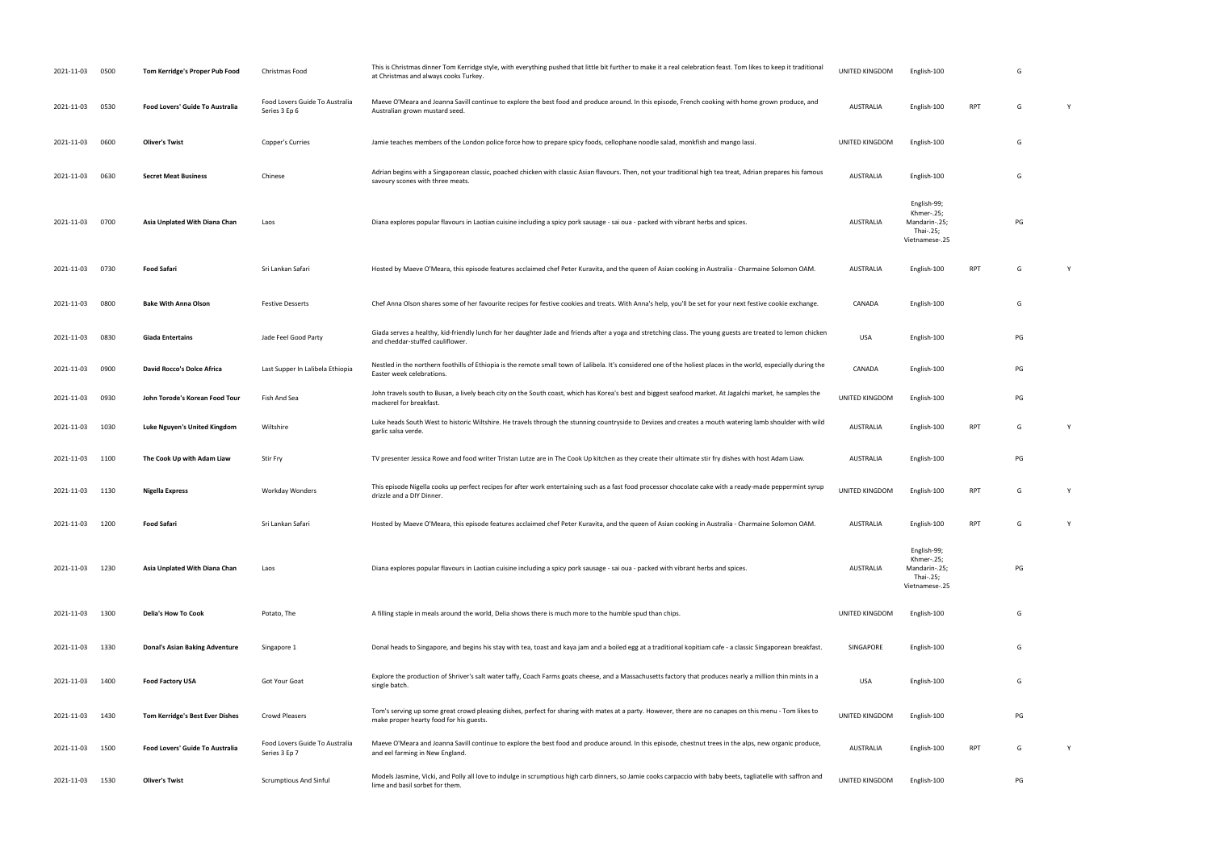| 2021-11-03      | 0500 | Tom Kerridge's Proper Pub Food        | Christmas Food                                  | This is Christmas dinner Tom Kerridge style, with everything pushed that little bit further to make it a real celebration feast. Tom likes to keep it traditional<br>at Christmas and always cooks Turkey | UNITED KINGDOM   | English-100                                                               |            | G  |   |
|-----------------|------|---------------------------------------|-------------------------------------------------|-----------------------------------------------------------------------------------------------------------------------------------------------------------------------------------------------------------|------------------|---------------------------------------------------------------------------|------------|----|---|
| 2021-11-03      | 0530 | Food Lovers' Guide To Australia       | Food Lovers Guide To Australia<br>Series 3 Ep 6 | Maeve O'Meara and Joanna Savill continue to explore the best food and produce around. In this episode, French cooking with home grown produce, and<br>Australian grown mustard seed.                      | AUSTRALIA        | English-100                                                               | RPT        | G  | Y |
| 2021-11-03      | 0600 | <b>Oliver's Twist</b>                 | Copper's Curries                                | Jamie teaches members of the London police force how to prepare spicy foods, cellophane noodle salad, monkfish and mango lassi.                                                                           | UNITED KINGDOM   | English-100                                                               |            | G  |   |
| 2021-11-03      | 0630 | <b>Secret Meat Business</b>           | Chinese                                         | Adrian begins with a Singaporean classic, poached chicken with classic Asian flavours. Then, not your traditional high tea treat, Adrian prepares his famous<br>savoury scones with three meats.          | AUSTRALIA        | English-100                                                               |            | G  |   |
| 2021-11-03      | 0700 | Asia Unplated With Diana Chan         | Laos                                            | Diana explores popular flavours in Laotian cuisine including a spicy pork sausage - sai oua - packed with vibrant herbs and spices.                                                                       | <b>AUSTRALIA</b> | English-99;<br>Khmer-.25;<br>Mandarin-.25;<br>Thai-.25;<br>Vietnamese-.25 |            | PG |   |
| 2021-11-03      | 0730 | <b>Food Safari</b>                    | Sri Lankan Safari                               | Hosted by Maeve O'Meara, this episode features acclaimed chef Peter Kuravita, and the queen of Asian cooking in Australia - Charmaine Solomon OAM.                                                        | AUSTRALIA        | English-100                                                               | RPT        | G  | Y |
| 2021-11-03      | 0800 | <b>Bake With Anna Olson</b>           | <b>Festive Desserts</b>                         | Chef Anna Olson shares some of her favourite recipes for festive cookies and treats. With Anna's help, you'll be set for your next festive cookie exchange.                                               | CANADA           | English-100                                                               |            | G  |   |
| 2021-11-03      | 0830 | <b>Giada Entertains</b>               | Jade Feel Good Party                            | Giada serves a healthy, kid-friendly lunch for her daughter Jade and friends after a yoga and stretching class. The young guests are treated to lemon chicken<br>and cheddar-stuffed cauliflower.         | <b>USA</b>       | English-100                                                               |            | PG |   |
| 2021-11-03      | 0900 | David Rocco's Dolce Africa            | Last Supper In Lalibela Ethiopia                | Nestled in the northern foothills of Ethiopia is the remote small town of Lalibela. It's considered one of the holiest places in the world, especially during the<br>Easter week celebrations.            | CANADA           | English-100                                                               |            | PG |   |
| 2021-11-03      | 0930 | John Torode's Korean Food Tour        | Fish And Sea                                    | John travels south to Busan, a lively beach city on the South coast, which has Korea's best and biggest seafood market. At Jagalchi market, he samples the<br>mackerel for breakfast.                     | UNITED KINGDOM   | English-100                                                               |            | PG |   |
| 2021-11-03      | 1030 | Luke Nguyen's United Kingdom          | Wiltshire                                       | Luke heads South West to historic Wiltshire. He travels through the stunning countryside to Devizes and creates a mouth watering lamb shoulder with wild<br>garlic salsa verde.                           | AUSTRALIA        | English-100                                                               | <b>RPT</b> | G  |   |
| 2021-11-03      | 1100 | The Cook Up with Adam Liaw            | <b>Stir Fry</b>                                 | TV presenter Jessica Rowe and food writer Tristan Lutze are in The Cook Up kitchen as they create their ultimate stir fry dishes with host Adam Liaw.                                                     | AUSTRALIA        | English-100                                                               |            | PG |   |
| 2021-11-03 1130 |      | <b>Nigella Express</b>                | Workday Wonders                                 | This episode Nigella cooks up perfect recipes for after work entertaining such as a fast food processor chocolate cake with a ready-made peppermint syrup<br>drizzle and a DIY Dinner.                    | UNITED KINGDOM   | English-100                                                               | <b>RPT</b> | G  |   |
| 2021-11-03 1200 |      | Food Safari                           | Sri Lankan Safari                               | Hosted by Maeve O'Meara, this episode features acclaimed chef Peter Kuravita, and the queen of Asian cooking in Australia - Charmaine Solomon OAM.                                                        | AUSTRALIA        | English-100                                                               | <b>RPT</b> | G  |   |
| 2021-11-03      | 1230 | Asia Unplated With Diana Chan         | Laos                                            | Diana explores popular flavours in Laotian cuisine including a spicy pork sausage - sai oua - packed with vibrant herbs and spices.                                                                       | AUSTRALIA        | English-99;<br>Khmer-.25;<br>Mandarin-.25;<br>Thai-.25;<br>Vietnamese-.25 |            | PG |   |
| 2021-11-03 1300 |      | <b>Delia's How To Cook</b>            | Potato, The                                     | A filling staple in meals around the world, Delia shows there is much more to the humble spud than chips.                                                                                                 | UNITED KINGDOM   | English-100                                                               |            | G  |   |
| 2021-11-03      | 1330 | <b>Donal's Asian Baking Adventure</b> | Singapore 1                                     | Donal heads to Singapore, and begins his stay with tea, toast and kaya jam and a boiled egg at a traditional kopitiam cafe - a classic Singaporean breakfast.                                             | SINGAPORE        | English-100                                                               |            | G  |   |
| 2021-11-03 1400 |      | <b>Food Factory USA</b>               | Got Your Goat                                   | Explore the production of Shriver's salt water taffy, Coach Farms goats cheese, and a Massachusetts factory that produces nearly a million thin mints in a<br>single batch.                               | <b>USA</b>       | English-100                                                               |            | G  |   |
| 2021-11-03      | 1430 | Tom Kerridge's Best Ever Dishes       | Crowd Pleasers                                  | Tom's serving up some great crowd pleasing dishes, perfect for sharing with mates at a party. However, there are no canapes on this menu - Tom likes to<br>make proper hearty food for his guests.        | UNITED KINGDOM   | English-100                                                               |            | PG |   |
| 2021-11-03      | 1500 | Food Lovers' Guide To Australia       | Food Lovers Guide To Australia<br>Series 3 Ep 7 | Maeve O'Meara and Joanna Savill continue to explore the best food and produce around. In this episode, chestnut trees in the alps, new organic produce,<br>and eel farming in New England.                | AUSTRALIA        | English-100                                                               | RPT        | G  |   |
| 2021-11-03 1530 |      | <b>Oliver's Twist</b>                 | <b>Scrumptious And Sinful</b>                   | Models Jasmine, Vicki, and Polly all love to indulge in scrumptious high carb dinners, so Jamie cooks carpaccio with baby beets, tagliatelle with saffron and<br>lime and basil sorbet for them.          | UNITED KINGDOM   | English-100                                                               |            | PG |   |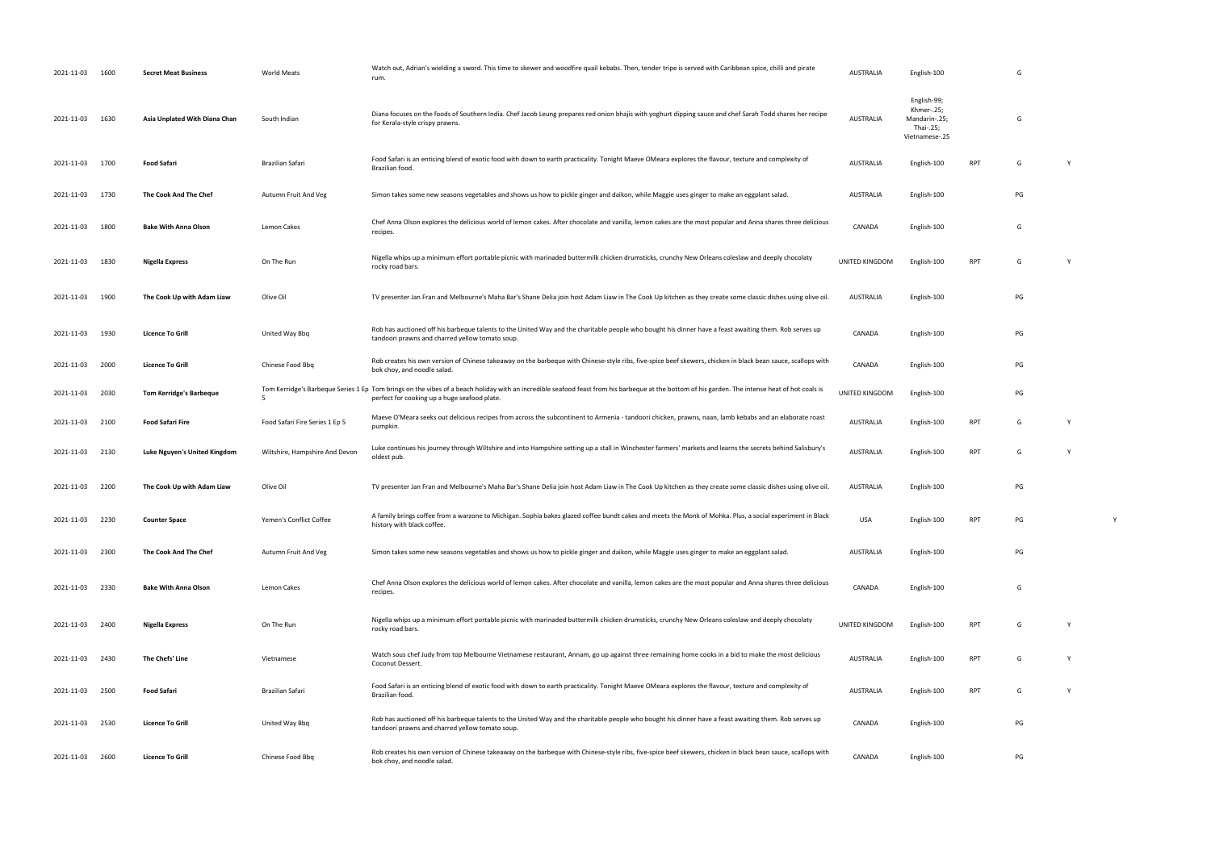| 2021-11-03      | 1600 | <b>Secret Meat Business</b>    | <b>World Meats</b>             | Watch out, Adrian's wielding a sword. This time to skewer and woodfire quail kebabs. Then, tender tripe is served with Caribbean spice, chilli and pirate<br>rum.                                                                               | <b>AUSTRALIA</b> | English-100                                                               |            | G  |   |  |
|-----------------|------|--------------------------------|--------------------------------|-------------------------------------------------------------------------------------------------------------------------------------------------------------------------------------------------------------------------------------------------|------------------|---------------------------------------------------------------------------|------------|----|---|--|
| 2021-11-03      | 1630 | Asia Unplated With Diana Chan  | South Indian                   | Diana focuses on the foods of Southern India. Chef Jacob Leung prepares red onion bhajis with yoghurt dipping sauce and chef Sarah Todd shares her recipe<br>for Kerala-style crispy prawns.                                                    | <b>AUSTRALIA</b> | English-99;<br>Khmer-.25;<br>Mandarin-.25;<br>Thai-.25;<br>Vietnamese-.25 |            | G  |   |  |
| 2021-11-03 1700 |      | <b>Food Safari</b>             | <b>Brazilian Safari</b>        | Food Safari is an enticing blend of exotic food with down to earth practicality. Tonight Maeve OMeara explores the flavour, texture and complexity of<br>Brazilian food.                                                                        | <b>AUSTRALIA</b> | English-100                                                               | <b>RPT</b> | G  | Y |  |
| 2021-11-03 1730 |      | The Cook And The Chef          | Autumn Fruit And Veg           | Simon takes some new seasons vegetables and shows us how to pickle ginger and daikon, while Maggie uses ginger to make an eggplant salad.                                                                                                       | <b>AUSTRALIA</b> | English-100                                                               |            | PG |   |  |
| 2021-11-03      | 1800 | <b>Bake With Anna Olson</b>    | Lemon Cakes                    | Chef Anna Olson explores the delicious world of lemon cakes. After chocolate and vanilla, lemon cakes are the most popular and Anna shares three delicious<br>recipes.                                                                          | CANADA           | English-100                                                               |            | G  |   |  |
| 2021-11-03      | 1830 | Nigella Express                | On The Run                     | Nigella whips up a minimum effort portable picnic with marinaded buttermilk chicken drumsticks, crunchy New Orleans coleslaw and deeply chocolaty<br>rocky road bars.                                                                           | UNITED KINGDOM   | English-100                                                               | RPT        | G  | Y |  |
| 2021-11-03      | 1900 | The Cook Up with Adam Liaw     | Olive Oil                      | TV presenter Jan Fran and Melbourne's Maha Bar's Shane Delia join host Adam Liaw in The Cook Up kitchen as they create some classic dishes using olive oil.                                                                                     | AUSTRALIA        | English-100                                                               |            | PG |   |  |
| 2021-11-03      | 1930 | <b>Licence To Grill</b>        | United Way Bbq                 | Rob has auctioned off his barbeque talents to the United Way and the charitable people who bought his dinner have a feast awaiting them. Rob serves up<br>tandoori prawns and charred yellow tomato soup.                                       | CANADA           | English-100                                                               |            | PG |   |  |
| 2021-11-03      | 2000 | <b>Licence To Grill</b>        | Chinese Food Bbq               | Rob creates his own version of Chinese takeaway on the barbeque with Chinese-style ribs, five-spice beef skewers, chicken in black bean sauce, scallops with<br>bok choy, and noodle salad.                                                     | CANADA           | English-100                                                               |            | PG |   |  |
| 2021-11-03      | 2030 | <b>Tom Kerridge's Barbeque</b> |                                | Tom Kerridge's Barbeque Series 1 Ep Tom brings on the vibes of a beach holiday with an incredible seafood feast from his barbeque at the bottom of his garden. The intense heat of hot coals is<br>perfect for cooking up a huge seafood plate. | UNITED KINGDOM   | English-100                                                               |            | PG |   |  |
| 2021-11-03      | 2100 | <b>Food Safari Fire</b>        | Food Safari Fire Series 1 Ep 5 | Maeve O'Meara seeks out delicious recipes from across the subcontinent to Armenia - tandoori chicken, prawns, naan, lamb kebabs and an elaborate roast<br>pumpkin.                                                                              | <b>AUSTRALIA</b> | English-100                                                               | <b>RPT</b> | G  | Y |  |
| 2021-11-03      | 2130 | Luke Nguyen's United Kingdom   | Wiltshire, Hampshire And Devon | Luke continues his journey through Wiltshire and into Hampshire setting up a stall in Winchester farmers' markets and learns the secrets behind Salisbury's<br>oldest pub.                                                                      | <b>AUSTRALIA</b> | English-100                                                               | <b>RPT</b> | G  | Y |  |
| 2021-11-03      | 2200 | The Cook Up with Adam Liaw     | Olive Oil                      | TV presenter Jan Fran and Melbourne's Maha Bar's Shane Delia join host Adam Liaw in The Cook Up kitchen as they create some classic dishes using olive oil.                                                                                     | <b>AUSTRALIA</b> | English-100                                                               |            | PG |   |  |
| 2021-11-03 2230 |      | <b>Counter Space</b>           | Yemen's Conflict Coffee        | A family brings coffee from a warzone to Michigan. Sophia bakes glazed coffee bundt cakes and meets the Monk of Mohka. Plus, a social experiment in Black<br>history with black coffee.                                                         | USA              | English-100                                                               | <b>RPT</b> | PG |   |  |
| 2021-11-03 2300 |      | The Cook And The Chef          | Autumn Fruit And Veg           | Simon takes some new seasons vegetables and shows us how to pickle ginger and daikon, while Maggie uses ginger to make an eggplant salad.                                                                                                       | <b>AUSTRALIA</b> | English-100                                                               |            | PG |   |  |
| 2021-11-03 2330 |      | <b>Bake With Anna Olson</b>    | Lemon Cakes                    | Chef Anna Olson explores the delicious world of lemon cakes. After chocolate and vanilla, lemon cakes are the most popular and Anna shares three delicious<br>recipes.                                                                          | CANADA           | English-100                                                               |            | G  |   |  |
| 2021-11-03 2400 |      | Nigella Express                | On The Run                     | Nigella whips up a minimum effort portable picnic with marinaded buttermilk chicken drumsticks, crunchy New Orleans coleslaw and deeply chocolaty<br>rocky road bars.                                                                           | UNITED KINGDOM   | English-100                                                               | <b>RPT</b> | G  | Y |  |
| 2021-11-03      | 2430 | The Chefs' Line                | Vietnamese                     | Watch sous chef Judy from top Melbourne Vietnamese restaurant, Annam, go up against three remaining home cooks in a bid to make the most delicious<br>Coconut Dessert.                                                                          | <b>AUSTRALIA</b> | English-100                                                               | <b>RPT</b> | G  | Y |  |
| 2021-11-03      | 2500 | <b>Food Safari</b>             | Brazilian Safari               | Food Safari is an enticing blend of exotic food with down to earth practicality. Tonight Maeve OMeara explores the flavour, texture and complexity of<br>Brazilian food.                                                                        | <b>AUSTRALIA</b> | English-100                                                               | RPT        | G  | Y |  |
| 2021-11-03 2530 |      | <b>Licence To Grill</b>        | United Way Bbq                 | Rob has auctioned off his barbeque talents to the United Way and the charitable people who bought his dinner have a feast awaiting them. Rob serves up<br>tandoori prawns and charred yellow tomato soup.                                       | CANADA           | English-100                                                               |            | PG |   |  |
| 2021-11-03 2600 |      | <b>Licence To Grill</b>        | Chinese Food Bbq               | Rob creates his own version of Chinese takeaway on the barbeque with Chinese-style ribs, five-spice beef skewers, chicken in black bean sauce, scallops with<br>bok choy, and noodle salad.                                                     | CANADA           | English-100                                                               |            | PG |   |  |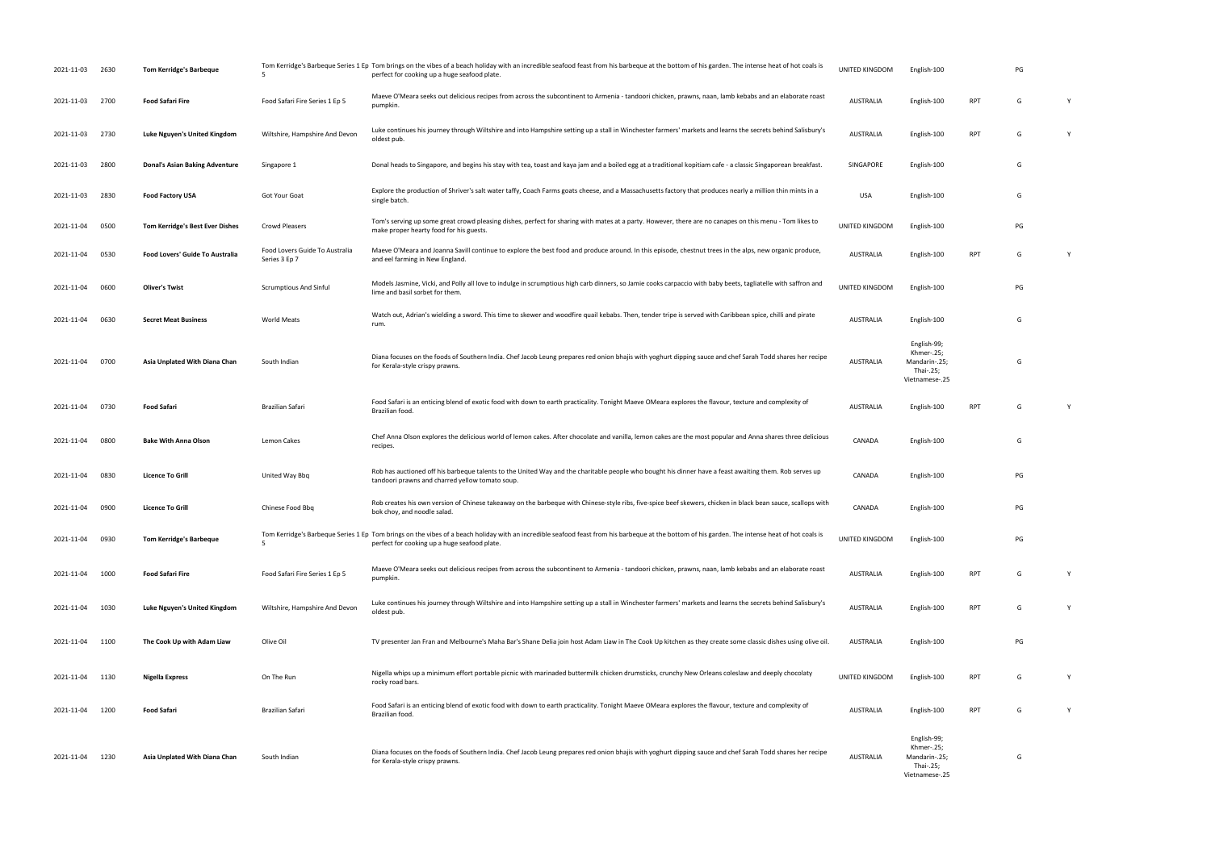| 2021-11-03      | 2630 | Tom Kerridge's Barbeque         | .5                                              | Tom Kerridge's Barbeque Series 1 Ep Tom brings on the vibes of a beach holiday with an incredible seafood feast from his barbeque at the bottom of his garden. The intense heat of hot coals is<br>perfect for cooking up a huge seafood plate. | UNITED KINGDOM   | English-100                                                               |            | PG |   |
|-----------------|------|---------------------------------|-------------------------------------------------|-------------------------------------------------------------------------------------------------------------------------------------------------------------------------------------------------------------------------------------------------|------------------|---------------------------------------------------------------------------|------------|----|---|
| 2021-11-03      | 2700 | <b>Food Safari Fire</b>         | Food Safari Fire Series 1 Ep 5                  | Maeve O'Meara seeks out delicious recipes from across the subcontinent to Armenia - tandoori chicken, prawns, naan, lamb kebabs and an elaborate roast<br>pumpkin.                                                                              | AUSTRALIA        | English-100                                                               | <b>RPT</b> | G  | Y |
| 2021-11-03      | 2730 | Luke Nguyen's United Kingdom    | Wiltshire, Hampshire And Devon                  | Luke continues his journey through Wiltshire and into Hampshire setting up a stall in Winchester farmers' markets and learns the secrets behind Salisbury's<br>oldest pub.                                                                      | AUSTRALIA        | English-100                                                               | <b>RPT</b> | G  | Y |
| 2021-11-03      | 2800 | Donal's Asian Baking Adventure  | Singapore 1                                     | Donal heads to Singapore, and begins his stay with tea, toast and kaya jam and a boiled egg at a traditional kopitiam cafe - a classic Singaporean breakfast.                                                                                   | SINGAPORE        | English-100                                                               |            | G  |   |
| 2021-11-03      | 2830 | <b>Food Factory USA</b>         | Got Your Goat                                   | Explore the production of Shriver's salt water taffy, Coach Farms goats cheese, and a Massachusetts factory that produces nearly a million thin mints in a<br>single batch.                                                                     | <b>USA</b>       | English-100                                                               |            | G  |   |
| 2021-11-04      | 0500 | Tom Kerridge's Best Ever Dishes | Crowd Pleasers                                  | Tom's serving up some great crowd pleasing dishes, perfect for sharing with mates at a party. However, there are no canapes on this menu - Tom likes to<br>make proper hearty food for his guests.                                              | UNITED KINGDOM   | English-100                                                               |            | PG |   |
| 2021-11-04      | 0530 | Food Lovers' Guide To Australia | Food Lovers Guide To Australia<br>Series 3 Ep 7 | Maeve O'Meara and Joanna Savill continue to explore the best food and produce around. In this episode, chestnut trees in the alps, new organic produce,<br>and eel farming in New England.                                                      | AUSTRALIA        | English-100                                                               | <b>RPT</b> | G  |   |
| 2021-11-04      | 0600 | <b>Oliver's Twist</b>           | <b>Scrumptious And Sinful</b>                   | Models Jasmine, Vicki, and Polly all love to indulge in scrumptious high carb dinners, so Jamie cooks carpaccio with baby beets, tagliatelle with saffron and<br>lime and basil sorbet for them.                                                | UNITED KINGDOM   | English-100                                                               |            | PG |   |
| 2021-11-04      | 0630 | <b>Secret Meat Business</b>     | <b>World Meats</b>                              | Watch out, Adrian's wielding a sword. This time to skewer and woodfire quail kebabs. Then, tender tripe is served with Caribbean spice, chilli and pirate<br>rum.                                                                               | <b>AUSTRALIA</b> | English-100                                                               |            | G  |   |
| 2021-11-04      | 0700 | Asia Unplated With Diana Chan   | South Indian                                    | Diana focuses on the foods of Southern India. Chef Jacob Leung prepares red onion bhajis with yoghurt dipping sauce and chef Sarah Todd shares her recipe<br>for Kerala-style crispy prawns.                                                    | AUSTRALIA        | English-99;<br>Khmer-.25;<br>Mandarin-.25;<br>Thai-.25;<br>Vietnamese-.25 |            | G  |   |
| 2021-11-04 0730 |      | <b>Food Safari</b>              | Brazilian Safari                                | Food Safari is an enticing blend of exotic food with down to earth practicality. Tonight Maeve OMeara explores the flavour, texture and complexity of<br>Brazilian food.                                                                        | AUSTRALIA        | English-100                                                               | RPT        | G  | Y |
| 2021-11-04      | 0800 | <b>Bake With Anna Olson</b>     | Lemon Cakes                                     | Chef Anna Olson explores the delicious world of lemon cakes. After chocolate and vanilla, lemon cakes are the most popular and Anna shares three delicious<br>recipes.                                                                          | CANADA           | English-100                                                               |            | G  |   |
| 2021-11-04      | 0830 | <b>Licence To Grill</b>         | United Way Bbq                                  | Rob has auctioned off his barbeque talents to the United Way and the charitable people who bought his dinner have a feast awaiting them. Rob serves up<br>tandoori prawns and charred yellow tomato soup.                                       | CANADA           | English-100                                                               |            | PG |   |
| 2021-11-04      | 0900 | <b>Licence To Grill</b>         | Chinese Food Bbq                                | Rob creates his own version of Chinese takeaway on the barbeque with Chinese-style ribs, five-spice beef skewers, chicken in black bean sauce, scallops with<br>bok choy, and noodle salad.                                                     | CANADA           | English-100                                                               |            | PG |   |
| 2021-11-04      | 0930 | <b>Tom Kerridge's Barbeque</b>  | 5                                               | Tom Kerridge's Barbeque Series 1 Ep Tom brings on the vibes of a beach holiday with an incredible seafood feast from his barbeque at the bottom of his garden. The intense heat of hot coals is<br>perfect for cooking up a huge seafood plate. | UNITED KINGDOM   | English-100                                                               |            | PG |   |
| 2021-11-04      | 1000 | <b>Food Safari Fire</b>         | Food Safari Fire Series 1 Ep 5                  | Maeve O'Meara seeks out delicious recipes from across the subcontinent to Armenia - tandoori chicken, prawns, naan, lamb kebabs and an elaborate roast<br>pumpkin.                                                                              | AUSTRALIA        | English-100                                                               | <b>RPT</b> | G  | Y |
| 2021-11-04      | 1030 | Luke Nguyen's United Kingdom    | Wiltshire, Hampshire And Devon                  | Luke continues his journey through Wiltshire and into Hampshire setting up a stall in Winchester farmers' markets and learns the secrets behind Salisbury's<br>oldest pub.                                                                      | AUSTRALIA        | English-100                                                               | <b>RPT</b> | G  | Y |
| 2021-11-04      | 1100 | The Cook Up with Adam Liaw      | Olive Oil                                       | TV presenter Jan Fran and Melbourne's Maha Bar's Shane Delia join host Adam Liaw in The Cook Up kitchen as they create some classic dishes using olive oil                                                                                      | AUSTRALIA        | English-100                                                               |            | PG |   |
| 2021-11-04      | 1130 | <b>Nigella Express</b>          | On The Run                                      | Nigella whips up a minimum effort portable picnic with marinaded buttermilk chicken drumsticks, crunchy New Orleans coleslaw and deeply chocolaty<br>rocky road bars.                                                                           | UNITED KINGDOM   | English-100                                                               | <b>RPT</b> | G  | Y |
| 2021-11-04      | 1200 | <b>Food Safari</b>              | Brazilian Safari                                | Food Safari is an enticing blend of exotic food with down to earth practicality. Tonight Maeve OMeara explores the flavour, texture and complexity of<br>Brazilian food.                                                                        | AUSTRALIA        | English-100                                                               | <b>RPT</b> | G  |   |
| 2021-11-04      | 1230 | Asia Unplated With Diana Chan   | South Indian                                    | Diana focuses on the foods of Southern India. Chef Jacob Leung prepares red onion bhajis with yoghurt dipping sauce and chef Sarah Todd shares her recipe<br>for Kerala-style crispy prawns.                                                    | <b>AUSTRALIA</b> | English-99;<br>Khmer-.25;<br>Mandarin-.25;<br>Thai-.25;<br>Vietnamese-.25 |            | G  |   |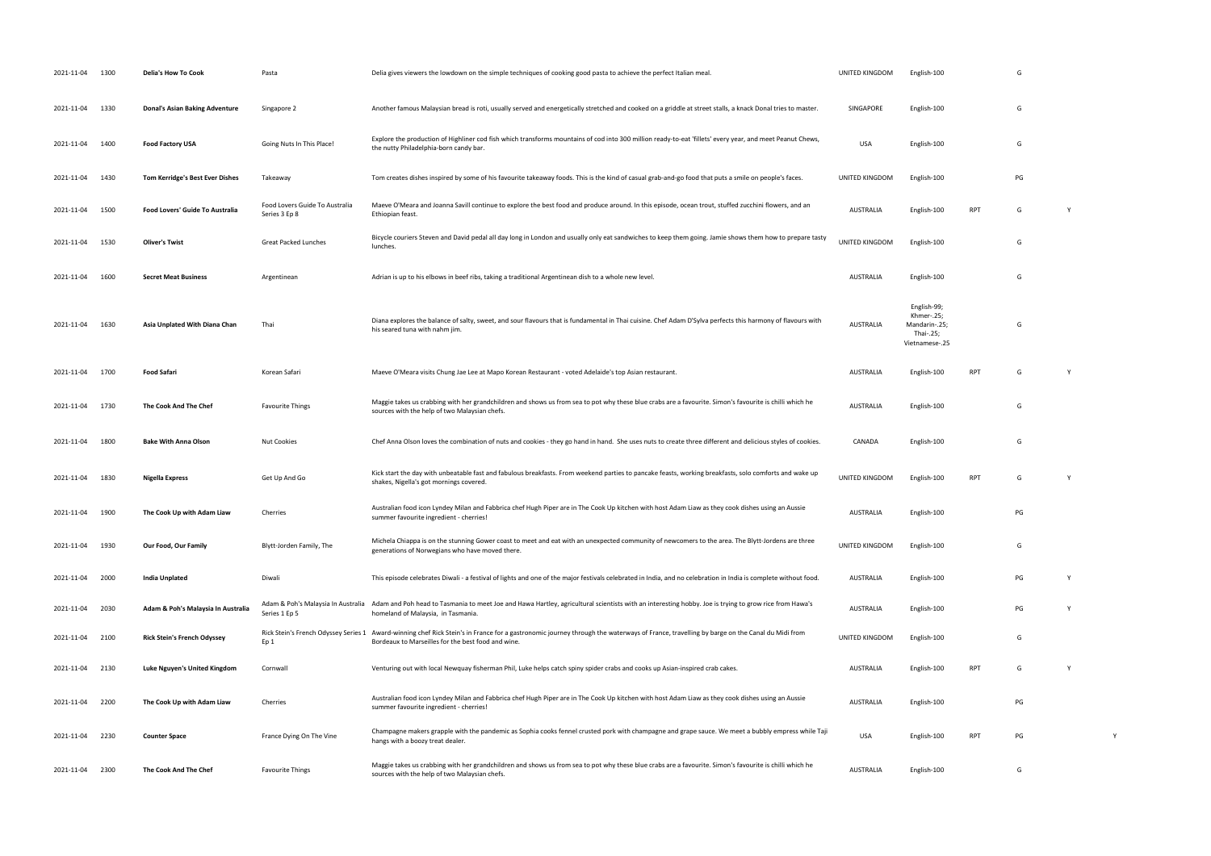| 2021-11-04 1300 |      | Delia's How To Cook                   | Pasta                                               | Delia gives viewers the lowdown on the simple techniques of cooking good pasta to achieve the perfect Italian meal.                                                                                      | UNITED KINGDOM   | English-100                                                               |            | G  |   |
|-----------------|------|---------------------------------------|-----------------------------------------------------|----------------------------------------------------------------------------------------------------------------------------------------------------------------------------------------------------------|------------------|---------------------------------------------------------------------------|------------|----|---|
| 2021-11-04 1330 |      | <b>Donal's Asian Baking Adventure</b> | Singapore 2                                         | Another famous Malaysian bread is roti, usually served and energetically stretched and cooked on a griddle at street stalls, a knack Donal tries to master.                                              | SINGAPORE        | English-100                                                               |            | G  |   |
| 2021-11-04      | 1400 | <b>Food Factory USA</b>               | Going Nuts In This Place!                           | Explore the production of Highliner cod fish which transforms mountains of cod into 300 million ready-to-eat 'fillets' every year, and meet Peanut Chews,<br>the nutty Philadelphia-born candy bar.      | <b>USA</b>       | English-100                                                               |            | G  |   |
| 2021-11-04      | 1430 | Tom Kerridge's Best Ever Dishes       | Takeaway                                            | Tom creates dishes inspired by some of his favourite takeaway foods. This is the kind of casual grab-and-go food that puts a smile on people's faces.                                                    | UNITED KINGDOM   | English-100                                                               |            | PG |   |
| 2021-11-04      | 1500 | Food Lovers' Guide To Australia       | Food Lovers Guide To Australia<br>Series 3 Ep 8     | Maeve O'Meara and Joanna Savill continue to explore the best food and produce around. In this episode, ocean trout, stuffed zucchini flowers, and an<br>Ethiopian feast.                                 | <b>AUSTRALIA</b> | English-100                                                               | <b>RPT</b> | G  | Y |
| 2021-11-04      | 1530 | <b>Oliver's Twist</b>                 | <b>Great Packed Lunches</b>                         | Bicycle couriers Steven and David pedal all day long in London and usually only eat sandwiches to keep them going. Jamie shows them how to prepare tasty<br>lunches.                                     | UNITED KINGDOM   | English-100                                                               |            | G  |   |
| 2021-11-04      | 1600 | <b>Secret Meat Business</b>           | Argentinean                                         | Adrian is up to his elbows in beef ribs, taking a traditional Argentinean dish to a whole new level.                                                                                                     | AUSTRALIA        | English-100                                                               |            | G  |   |
| 2021-11-04      | 1630 | Asia Unplated With Diana Chan         | Thai                                                | Diana explores the balance of salty, sweet, and sour flavours that is fundamental in Thai cuisine. Chef Adam D'Sylva perfects this harmony of flavours with<br>his seared tuna with nahm jim.            | <b>AUSTRALIA</b> | English-99;<br>Khmer-.25;<br>Mandarin-.25;<br>Thai-.25;<br>Vietnamese-.25 |            | G  |   |
| 2021-11-04 1700 |      | <b>Food Safari</b>                    | Korean Safari                                       | Maeve O'Meara visits Chung Jae Lee at Mapo Korean Restaurant - voted Adelaide's top Asian restaurant.                                                                                                    | <b>AUSTRALIA</b> | English-100                                                               | RPT        | G  | Y |
| 2021-11-04      | 1730 | The Cook And The Chef                 | <b>Favourite Things</b>                             | Maggie takes us crabbing with her grandchildren and shows us from sea to pot why these blue crabs are a favourite. Simon's favourite is chilli which he<br>sources with the help of two Malaysian chefs. | <b>AUSTRALIA</b> | English-100                                                               |            | G  |   |
| 2021-11-04      | 1800 | <b>Bake With Anna Olson</b>           | <b>Nut Cookies</b>                                  | Chef Anna Olson loves the combination of nuts and cookies - they go hand in hand. She uses nuts to create three different and delicious styles of cookies.                                               | CANADA           | English-100                                                               |            | G  |   |
| 2021-11-04      | 1830 | Nigella Express                       | Get Up And Go                                       | Kick start the day with unbeatable fast and fabulous breakfasts. From weekend parties to pancake feasts, working breakfasts, solo comforts and wake up<br>shakes, Nigella's got mornings covered.        | UNITED KINGDOM   | English-100                                                               | <b>RPT</b> | G  | Y |
| 2021-11-04 1900 |      | The Cook Up with Adam Liaw            | Cherries                                            | Australian food icon Lyndey Milan and Fabbrica chef Hugh Piper are in The Cook Up kitchen with host Adam Liaw as they cook dishes using an Aussie<br>summer favourite ingredient - cherries!             | <b>AUSTRALIA</b> | English-100                                                               |            | PG |   |
| 2021-11-04      | 1930 | Our Food, Our Family                  | Blytt-Jorden Family, The                            | Michela Chiappa is on the stunning Gower coast to meet and eat with an unexpected community of newcomers to the area. The Blytt-Jordens are three<br>generations of Norwegians who have moved there.     | UNITED KINGDOM   | English-100                                                               |            | G  |   |
| 2021-11-04      | 2000 | <b>India Unplated</b>                 | Diwali                                              | This episode celebrates Diwali - a festival of lights and one of the major festivals celebrated in India, and no celebration in India is complete without food.                                          | <b>AUSTRALIA</b> | English-100                                                               |            | PG | Y |
| 2021-11-04      | 2030 | Adam & Poh's Malaysia In Australia    | Adam & Poh's Malaysia In Australia<br>Series 1 Ep 5 | Adam and Poh head to Tasmania to meet Joe and Hawa Hartley, agricultural scientists with an interesting hobby. Joe is trying to grow rice from Hawa's<br>homeland of Malaysia, in Tasmania.              | AUSTRALIA        | English-100                                                               |            | PG | Y |
| 2021-11-04      | 2100 | <b>Rick Stein's French Odyssey</b>    | Rick Stein's French Odyssey Series 1<br>Ep 1        | Award-winning chef Rick Stein's in France for a gastronomic journey through the waterways of France, travelling by barge on the Canal du Midi from<br>Bordeaux to Marseilles for the best food and wine. | UNITED KINGDOM   | English-100                                                               |            | G  |   |
| 2021-11-04      | 2130 | Luke Nguyen's United Kingdom          | Cornwall                                            | Venturing out with local Newquay fisherman Phil, Luke helps catch spiny spider crabs and cooks up Asian-inspired crab cakes.                                                                             | AUSTRALIA        | English-100                                                               | RPT        | G  | Y |
| 2021-11-04 2200 |      | The Cook Up with Adam Liaw            | Cherries                                            | Australian food icon Lyndey Milan and Fabbrica chef Hugh Piper are in The Cook Up kitchen with host Adam Liaw as they cook dishes using an Aussie<br>summer favourite ingredient - cherries!             | <b>AUSTRALIA</b> | English-100                                                               |            | PG |   |
| 2021-11-04 2230 |      | <b>Counter Space</b>                  | France Dying On The Vine                            | Champagne makers grapple with the pandemic as Sophia cooks fennel crusted pork with champagne and grape sauce. We meet a bubbly empress while Taji<br>hangs with a boozy treat dealer.                   | USA              | English-100                                                               | <b>RPT</b> | PG |   |
| 2021-11-04 2300 |      | The Cook And The Chef                 | <b>Favourite Things</b>                             | Maggie takes us crabbing with her grandchildren and shows us from sea to pot why these blue crabs are a favourite. Simon's favourite is chilli which he<br>sources with the help of two Malaysian chefs. | <b>AUSTRALIA</b> | English-100                                                               |            | G  |   |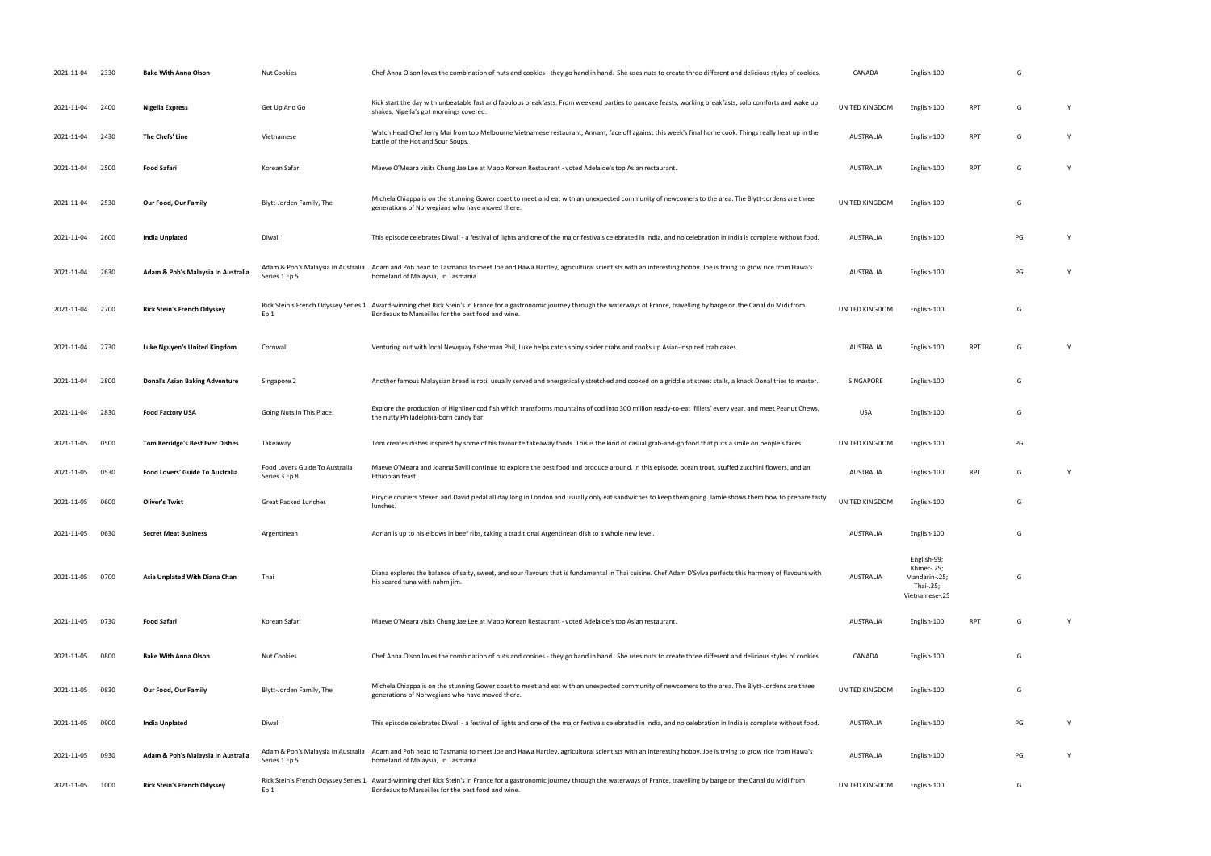| 2021-11-04 | 2330 | <b>Bake With Anna Olson</b>            | <b>Nut Cookies</b>                              | Chef Anna Olson loves the combination of nuts and cookies - they go hand in hand. She uses nuts to create three different and delicious styles of cookies.                                                                                    | CANADA           | English-100                                                               |            | G  |   |
|------------|------|----------------------------------------|-------------------------------------------------|-----------------------------------------------------------------------------------------------------------------------------------------------------------------------------------------------------------------------------------------------|------------------|---------------------------------------------------------------------------|------------|----|---|
| 2021-11-04 | 2400 | Nigella Express                        | Get Up And Go                                   | Kick start the day with unbeatable fast and fabulous breakfasts. From weekend parties to pancake feasts, working breakfasts, solo comforts and wake up<br>shakes, Nigella's got mornings covered.                                             | UNITED KINGDOM   | English-100                                                               | <b>RPT</b> | G  | Y |
| 2021-11-04 | 2430 | The Chefs' Line                        | Vietnamese                                      | Watch Head Chef Jerry Mai from top Melbourne Vietnamese restaurant, Annam, face off against this week's final home cook. Things really heat up in the<br>battle of the Hot and Sour Soups.                                                    | <b>AUSTRALIA</b> | English-100                                                               | <b>RPT</b> | G  |   |
| 2021-11-04 | 2500 | Food Safari                            | Korean Safari                                   | Maeve O'Meara visits Chung Jae Lee at Mapo Korean Restaurant - voted Adelaide's top Asian restaurant.                                                                                                                                         | <b>AUSTRALIA</b> | English-100                                                               | <b>RPT</b> | G  | Y |
| 2021-11-04 | 2530 | Our Food, Our Family                   | Blytt-Jorden Family, The                        | Michela Chiappa is on the stunning Gower coast to meet and eat with an unexpected community of newcomers to the area. The Blytt-Jordens are three<br>generations of Norwegians who have moved there.                                          | UNITED KINGDOM   | English-100                                                               |            | G  |   |
| 2021-11-04 | 2600 | <b>India Unplated</b>                  | Diwali                                          | This episode celebrates Diwali - a festival of lights and one of the major festivals celebrated in India, and no celebration in India is complete without food.                                                                               | <b>AUSTRALIA</b> | English-100                                                               |            | PG |   |
| 2021-11-04 | 2630 | Adam & Poh's Malaysia In Australia     | Series 1 Ep 5                                   | Adam & Poh's Malaysia In Australia Adam and Poh head to Tasmania to meet Joe and Hawa Hartley, agricultural scientists with an interesting hobby. Joe is trying to grow rice from Hawa's<br>homeland of Malaysia, in Tasmania.                | <b>AUSTRALIA</b> | English-100                                                               |            | PG | Y |
| 2021-11-04 | 2700 | <b>Rick Stein's French Odyssey</b>     | Ep 1                                            | Rick Stein's French Odyssey Series 1 Award-winning chef Rick Stein's in France for a gastronomic journey through the waterways of France, travelling by barge on the Canal du Midi from<br>Bordeaux to Marseilles for the best food and wine. | UNITED KINGDOM   | English-100                                                               |            | G  |   |
| 2021-11-04 | 2730 | Luke Nguyen's United Kingdom           | Cornwall                                        | Venturing out with local Newquay fisherman Phil, Luke helps catch spiny spider crabs and cooks up Asian-inspired crab cakes.                                                                                                                  | <b>AUSTRALIA</b> | English-100                                                               | <b>RPT</b> | G  |   |
| 2021-11-04 | 2800 | <b>Donal's Asian Baking Adventure</b>  | Singapore 2                                     | Another famous Malaysian bread is roti, usually served and energetically stretched and cooked on a griddle at street stalls, a knack Donal tries to master.                                                                                   | SINGAPORE        | English-100                                                               |            | G  |   |
| 2021-11-04 | 2830 | <b>Food Factory USA</b>                | Going Nuts In This Place!                       | Explore the production of Highliner cod fish which transforms mountains of cod into 300 million ready-to-eat 'fillets' every year, and meet Peanut Chews,<br>the nutty Philadelphia-born candy bar.                                           | <b>USA</b>       | English-100                                                               |            | G  |   |
| 2021-11-05 | 0500 | <b>Tom Kerridge's Best Ever Dishes</b> | Takeaway                                        | Tom creates dishes inspired by some of his favourite takeaway foods. This is the kind of casual grab-and-go food that puts a smile on people's faces.                                                                                         | UNITED KINGDOM   | English-100                                                               |            | PG |   |
| 2021-11-05 | 0530 | Food Lovers' Guide To Australia        | Food Lovers Guide To Australia<br>Series 3 Ep 8 | Maeve O'Meara and Joanna Savill continue to explore the best food and produce around. In this episode, ocean trout, stuffed zucchini flowers, and an<br>Ethiopian feast.                                                                      | <b>AUSTRALIA</b> | English-100                                                               | <b>RPT</b> | G  |   |
| 2021-11-05 | 0600 | <b>Oliver's Twist</b>                  | Great Packed Lunches                            | Bicycle couriers Steven and David pedal all day long in London and usually only eat sandwiches to keep them going. Jamie shows them how to prepare tasty<br>lunches.                                                                          | UNITED KINGDOM   | English-100                                                               |            | G  |   |
| 2021-11-05 | 0630 | <b>Secret Meat Business</b>            | Argentinean                                     | Adrian is up to his elbows in beef ribs, taking a traditional Argentinean dish to a whole new level.                                                                                                                                          | <b>AUSTRALIA</b> | English-100                                                               |            | G  |   |
| 2021-11-05 | 0700 | Asia Unplated With Diana Chan          | Thai                                            | Diana explores the balance of salty, sweet, and sour flavours that is fundamental in Thai cuisine. Chef Adam D'Sylva perfects this harmony of flavours with<br>his seared tuna with nahm jim.                                                 | <b>AUSTRALIA</b> | English-99;<br>Khmer-.25;<br>Mandarin-.25;<br>Thai-.25;<br>Vietnamese-.25 |            | G  |   |
| 2021-11-05 | 0730 | <b>Food Safari</b>                     | Korean Safari                                   | Maeve O'Meara visits Chung Jae Lee at Mapo Korean Restaurant - voted Adelaide's top Asian restaurant.                                                                                                                                         | <b>AUSTRALIA</b> | English-100                                                               | <b>RPT</b> | G  |   |
| 2021-11-05 | 0800 | <b>Bake With Anna Olson</b>            | <b>Nut Cookies</b>                              | Chef Anna Olson loves the combination of nuts and cookies - they go hand in hand. She uses nuts to create three different and delicious styles of cookies.                                                                                    | CANADA           | English-100                                                               |            | G  |   |
| 2021-11-05 | 0830 | Our Food, Our Family                   | Blytt-Jorden Family, The                        | Michela Chiappa is on the stunning Gower coast to meet and eat with an unexpected community of newcomers to the area. The Blytt-Jordens are three<br>generations of Norwegians who have moved there.                                          | UNITED KINGDOM   | English-100                                                               |            | G  |   |
| 2021-11-05 | 0900 | India Unplated                         | Diwali                                          | This episode celebrates Diwali - a festival of lights and one of the major festivals celebrated in India, and no celebration in India is complete without food.                                                                               | <b>AUSTRALIA</b> | English-100                                                               |            | PG | Y |
| 2021-11-05 | 0930 | Adam & Poh's Malaysia In Australia     | Series 1 Ep 5                                   | Adam & Poh's Malaysia In Australia Adam and Poh head to Tasmania to meet Joe and Hawa Hartley, agricultural scientists with an interesting hobby. Joe is trying to grow rice from Hawa's<br>homeland of Malaysia, in Tasmania.                | <b>AUSTRALIA</b> | English-100                                                               |            | PG | Y |
| 2021-11-05 | 1000 | <b>Rick Stein's French Odyssey</b>     | Ep 1                                            | Rick Stein's French Odyssey Series 1 Award-winning chef Rick Stein's in France for a gastronomic journey through the waterways of France, travelling by barge on the Canal du Midi from<br>Bordeaux to Marseilles for the best food and wine. | UNITED KINGDOM   | English-100                                                               |            | G  |   |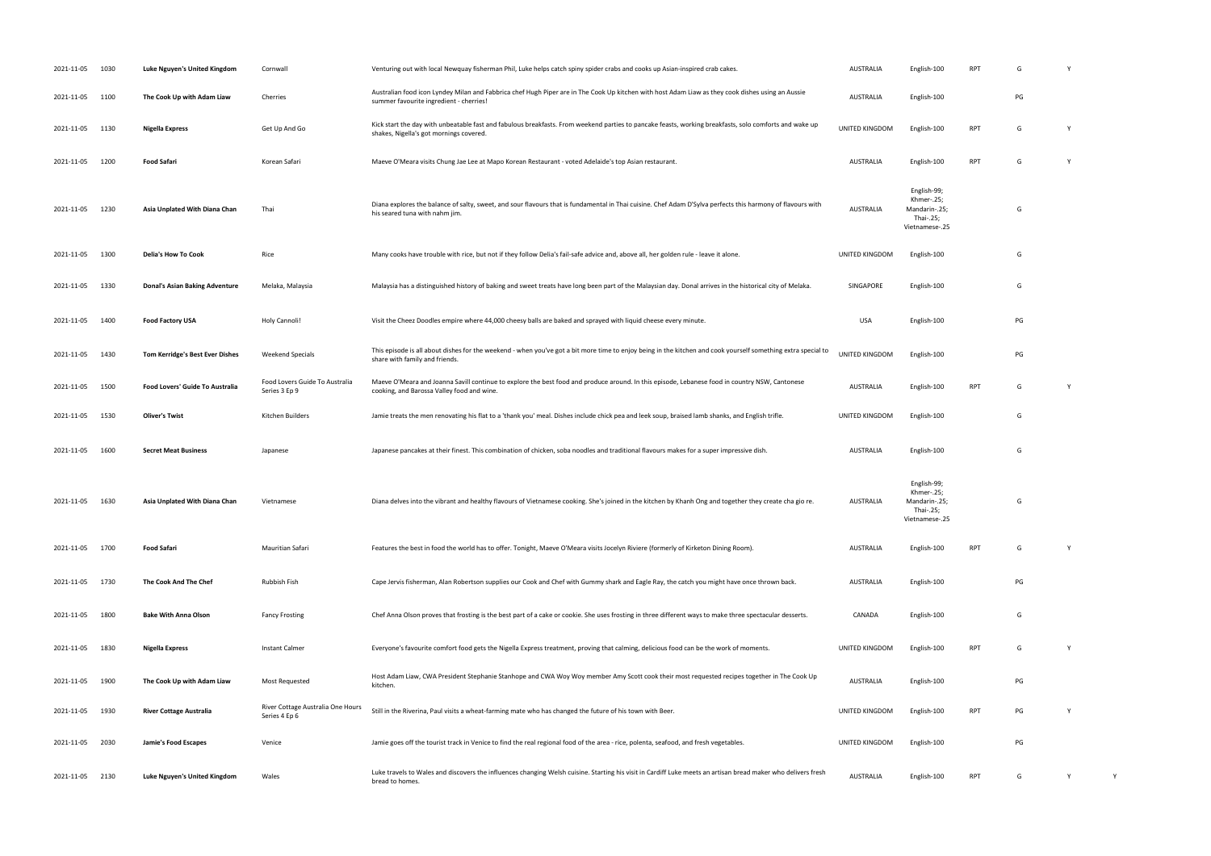| 2021-11-05      | 1030 | Luke Nguyen's United Kingdom           | Cornwall                                           | Venturing out with local Newquay fisherman Phil, Luke helps catch spiny spider crabs and cooks up Asian-inspired crab cakes.                                                                      | AUSTRALIA      | English-100                                                               | <b>RPT</b> | G  |   |  |
|-----------------|------|----------------------------------------|----------------------------------------------------|---------------------------------------------------------------------------------------------------------------------------------------------------------------------------------------------------|----------------|---------------------------------------------------------------------------|------------|----|---|--|
| 2021-11-05 1100 |      | The Cook Up with Adam Liaw             | Cherries                                           | Australian food icon Lyndey Milan and Fabbrica chef Hugh Piper are in The Cook Up kitchen with host Adam Liaw as they cook dishes using an Aussie<br>summer favourite ingredient - cherries!      | AUSTRALIA      | English-100                                                               |            | PG |   |  |
| 2021-11-05 1130 |      | <b>Nigella Express</b>                 | Get Up And Go                                      | Kick start the day with unbeatable fast and fabulous breakfasts. From weekend parties to pancake feasts, working breakfasts, solo comforts and wake up<br>shakes, Nigella's got mornings covered. | UNITED KINGDOM | English-100                                                               | <b>RPT</b> | G  | Y |  |
| 2021-11-05      | 1200 | <b>Food Safari</b>                     | Korean Safari                                      | Maeve O'Meara visits Chung Jae Lee at Mapo Korean Restaurant - voted Adelaide's top Asian restaurant.                                                                                             | AUSTRALIA      | English-100                                                               | <b>RPT</b> | G  | Y |  |
| 2021-11-05      | 1230 | Asia Unplated With Diana Chan          | Thai                                               | Diana explores the balance of salty, sweet, and sour flavours that is fundamental in Thai cuisine. Chef Adam D'Sylva perfects this harmony of flavours with<br>his seared tuna with nahm jim.     | AUSTRALIA      | English-99;<br>Khmer-.25;<br>Mandarin-.25;<br>Thai-.25;<br>Vietnamese-.25 |            | G  |   |  |
| 2021-11-05      | 1300 | Delia's How To Cook                    | Rice                                               | Many cooks have trouble with rice, but not if they follow Delia's fail-safe advice and, above all, her golden rule - leave it alone.                                                              | UNITED KINGDOM | English-100                                                               |            | G  |   |  |
| 2021-11-05 1330 |      | <b>Donal's Asian Baking Adventure</b>  | Melaka, Malaysia                                   | Malaysia has a distinguished history of baking and sweet treats have long been part of the Malaysian day. Donal arrives in the historical city of Melaka.                                         | SINGAPORE      | English-100                                                               |            | G  |   |  |
| 2021-11-05      | 1400 | <b>Food Factory USA</b>                | Holy Cannoli!                                      | Visit the Cheez Doodles empire where 44,000 cheesy balls are baked and sprayed with liquid cheese every minute.                                                                                   | <b>USA</b>     | English-100                                                               |            | PG |   |  |
| 2021-11-05      | 1430 | <b>Tom Kerridge's Best Ever Dishes</b> | Weekend Specials                                   | This episode is all about dishes for the weekend - when you've got a bit more time to enjoy being in the kitchen and cook yourself something extra special to<br>share with family and friends.   | UNITED KINGDOM | English-100                                                               |            | PG |   |  |
| 2021-11-05      | 1500 | Food Lovers' Guide To Australia        | Food Lovers Guide To Australia<br>Series 3 Ep 9    | Maeve O'Meara and Joanna Savill continue to explore the best food and produce around. In this episode, Lebanese food in country NSW, Cantonese<br>cooking, and Barossa Valley food and wine.      | AUSTRALIA      | English-100                                                               | <b>RPT</b> | G  | Y |  |
| 2021-11-05      | 1530 | Oliver's Twist                         | Kitchen Builders                                   | Jamie treats the men renovating his flat to a 'thank you' meal. Dishes include chick pea and leek soup, braised lamb shanks, and English trifle.                                                  | UNITED KINGDOM | English-100                                                               |            | G  |   |  |
| 2021-11-05      | 1600 | <b>Secret Meat Business</b>            | Japanese                                           | Japanese pancakes at their finest. This combination of chicken, soba noodles and traditional flavours makes for a super impressive dish.                                                          | AUSTRALIA      | English-100                                                               |            | G  |   |  |
| 2021-11-05 1630 |      | Asia Unplated With Diana Chan          | Vietnamese                                         | Diana delves into the vibrant and healthy flavours of Vietnamese cooking. She's joined in the kitchen by Khanh Ong and together they create cha gio re.                                           | AUSTRALIA      | English-99;<br>Khmer-.25;<br>Mandarin-.25;<br>Thai-.25;<br>Vietnamese-.25 |            | G  |   |  |
| 2021-11-05 1700 |      | <b>Food Safari</b>                     | Mauritian Safari                                   | Features the best in food the world has to offer. Tonight, Maeve O'Meara visits Jocelyn Riviere (formerly of Kirketon Dining Room).                                                               | AUSTRALIA      | English-100                                                               | <b>RPT</b> | G  | Y |  |
| 2021-11-05      | 1730 | The Cook And The Chef                  | Rubbish Fish                                       | Cape Jervis fisherman, Alan Robertson supplies our Cook and Chef with Gummy shark and Eagle Ray, the catch you might have once thrown back.                                                       | AUSTRALIA      | English-100                                                               |            | PG |   |  |
| 2021-11-05      | 1800 | <b>Bake With Anna Olson</b>            | <b>Fancy Frosting</b>                              | Chef Anna Olson proves that frosting is the best part of a cake or cookie. She uses frosting in three different ways to make three spectacular desserts.                                          | CANADA         | English-100                                                               |            | G  |   |  |
| 2021-11-05      | 1830 | <b>Nigella Express</b>                 | Instant Calmer                                     | Everyone's favourite comfort food gets the Nigella Express treatment, proving that calming, delicious food can be the work of moments.                                                            | UNITED KINGDOM | English-100                                                               | <b>RPT</b> | G  | Y |  |
| 2021-11-05      | 1900 | The Cook Up with Adam Liaw             | Most Requested                                     | Host Adam Liaw, CWA President Stephanie Stanhope and CWA Woy Woy member Amy Scott cook their most requested recipes together in The Cook Up<br>kitchen.                                           | AUSTRALIA      | English-100                                                               |            | PG |   |  |
| 2021-11-05      | 1930 | <b>River Cottage Australia</b>         | River Cottage Australia One Hours<br>Series 4 Ep 6 | Still in the Riverina, Paul visits a wheat-farming mate who has changed the future of his town with Beer.                                                                                         | UNITED KINGDOM | English-100                                                               | <b>RPT</b> | PG |   |  |
| 2021-11-05      | 2030 | <b>Jamie's Food Escapes</b>            | Venice                                             | Jamie goes off the tourist track in Venice to find the real regional food of the area - rice, polenta, seafood, and fresh vegetables.                                                             | UNITED KINGDOM | English-100                                                               |            | PG |   |  |
| 2021-11-05 2130 |      | Luke Nguyen's United Kingdom           | Wales                                              | Luke travels to Wales and discovers the influences changing Welsh cuisine. Starting his visit in Cardiff Luke meets an artisan bread maker who delivers fresh<br>bread to homes.                  | AUSTRALIA      | English-100                                                               | <b>RPT</b> | G  | Y |  |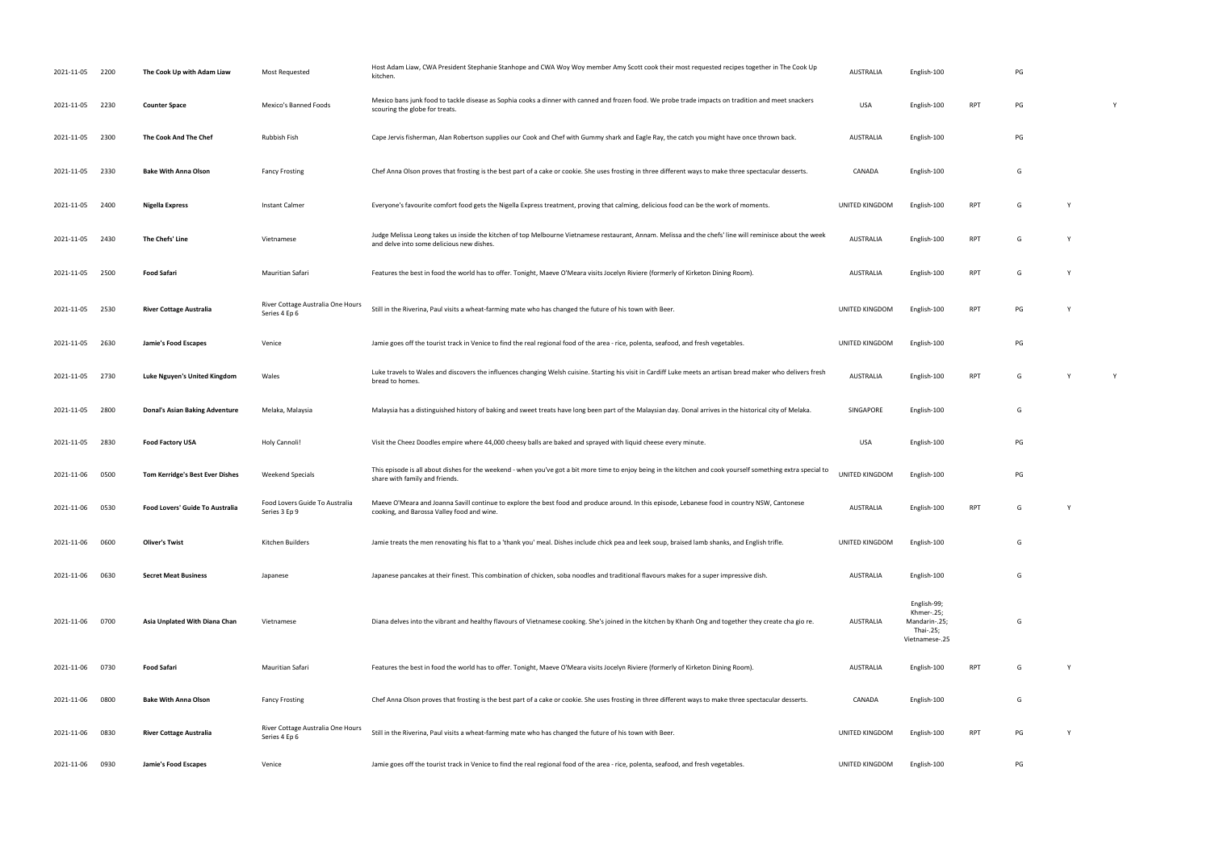| 2021-11-05      | 2200 | The Cook Up with Adam Liaw             | Most Requested                                     | Host Adam Liaw, CWA President Stephanie Stanhope and CWA Woy Woy member Amy Scott cook their most requested recipes together in The Cook Up<br>kitchen.                                               | <b>AUSTRALIA</b> | English-100                                                               |            | PG |   |   |
|-----------------|------|----------------------------------------|----------------------------------------------------|-------------------------------------------------------------------------------------------------------------------------------------------------------------------------------------------------------|------------------|---------------------------------------------------------------------------|------------|----|---|---|
| 2021-11-05      | 2230 | <b>Counter Space</b>                   | Mexico's Banned Foods                              | Mexico bans junk food to tackle disease as Sophia cooks a dinner with canned and frozen food. We probe trade impacts on tradition and meet snackers<br>scouring the globe for treats.                 | <b>USA</b>       | English-100                                                               | <b>RPT</b> | PG |   | Y |
| 2021-11-05      | 2300 | The Cook And The Chef                  | Rubbish Fish                                       | Cape Jervis fisherman, Alan Robertson supplies our Cook and Chef with Gummy shark and Eagle Ray, the catch you might have once thrown back.                                                           | AUSTRALIA        | English-100                                                               |            | PG |   |   |
| 2021-11-05      | 2330 | <b>Bake With Anna Olson</b>            | <b>Fancy Frosting</b>                              | Chef Anna Olson proves that frosting is the best part of a cake or cookie. She uses frosting in three different ways to make three spectacular desserts.                                              | CANADA           | English-100                                                               |            | G  |   |   |
| 2021-11-05 2400 |      | Nigella Express                        | Instant Calmer                                     | Everyone's favourite comfort food gets the Nigella Express treatment, proving that calming, delicious food can be the work of moments.                                                                | UNITED KINGDOM   | English-100                                                               | RPT        | G  |   |   |
| 2021-11-05      | 2430 | The Chefs' Line                        | Vietnamese                                         | Judge Melissa Leong takes us inside the kitchen of top Melbourne Vietnamese restaurant, Annam. Melissa and the chefs' line will reminisce about the week<br>and delve into some delicious new dishes. | <b>AUSTRALIA</b> | English-100                                                               | <b>RPT</b> | G  |   |   |
| 2021-11-05      | 2500 | Food Safari                            | Mauritian Safari                                   | Features the best in food the world has to offer. Tonight, Maeve O'Meara visits Jocelyn Riviere (formerly of Kirketon Dining Room).                                                                   | <b>AUSTRALIA</b> | English-100                                                               | <b>RPT</b> | G  |   |   |
| 2021-11-05      | 2530 | <b>River Cottage Australia</b>         | River Cottage Australia One Hours<br>Series 4 Ep 6 | Still in the Riverina, Paul visits a wheat-farming mate who has changed the future of his town with Beer.                                                                                             | UNITED KINGDOM   | English-100                                                               | <b>RPT</b> | PG |   |   |
| 2021-11-05      | 2630 | Jamie's Food Escapes                   | Venice                                             | Jamie goes off the tourist track in Venice to find the real regional food of the area - rice, polenta, seafood, and fresh vegetables.                                                                 | UNITED KINGDOM   | English-100                                                               |            | PG |   |   |
| 2021-11-05      | 2730 | Luke Nguyen's United Kingdom           | Wales                                              | Luke travels to Wales and discovers the influences changing Welsh cuisine. Starting his visit in Cardiff Luke meets an artisan bread maker who delivers fresh<br>bread to homes.                      | <b>AUSTRALIA</b> | English-100                                                               | RPT        | G  |   | Y |
| 2021-11-05      | 2800 | <b>Donal's Asian Baking Adventure</b>  | Melaka, Malaysia                                   | Malaysia has a distinguished history of baking and sweet treats have long been part of the Malaysian day. Donal arrives in the historical city of Melaka.                                             | SINGAPORE        | English-100                                                               |            | G  |   |   |
| 2021-11-05      | 2830 | <b>Food Factory USA</b>                | Holy Cannoli!                                      | Visit the Cheez Doodles empire where 44,000 cheesy balls are baked and sprayed with liquid cheese every minute.                                                                                       | USA              | English-100                                                               |            | PG |   |   |
| 2021-11-06      | 0500 | <b>Tom Kerridge's Best Ever Dishes</b> | Weekend Specials                                   | This episode is all about dishes for the weekend - when you've got a bit more time to enjoy being in the kitchen and cook yourself something extra special to<br>share with family and friends.       | UNITED KINGDOM   | English-100                                                               |            | PG |   |   |
| 2021-11-06 0530 |      | Food Lovers' Guide To Australia        | Food Lovers Guide To Australia<br>Series 3 Ep 9    | Maeve O'Meara and Joanna Savill continue to explore the best food and produce around. In this episode, Lebanese food in country NSW, Cantonese<br>cooking, and Barossa Valley food and wine.          | <b>AUSTRALIA</b> | English-100                                                               | RPT        | G  | Y |   |
| 2021-11-06 0600 |      | <b>Oliver's Twist</b>                  | Kitchen Builders                                   | Jamie treats the men renovating his flat to a 'thank you' meal. Dishes include chick pea and leek soup, braised lamb shanks, and English trifle.                                                      | UNITED KINGDOM   | English-100                                                               |            | G  |   |   |
| 2021-11-06      | 0630 | <b>Secret Meat Business</b>            | Japanese                                           | Japanese pancakes at their finest. This combination of chicken, soba noodles and traditional flavours makes for a super impressive dish.                                                              | <b>AUSTRALIA</b> | English-100                                                               |            | G  |   |   |
| 2021-11-06      | 0700 | Asia Unplated With Diana Chan          | Vietnamese                                         | Diana delves into the vibrant and healthy flavours of Vietnamese cooking. She's joined in the kitchen by Khanh Ong and together they create cha gio re.                                               | <b>AUSTRALIA</b> | English-99;<br>Khmer-.25;<br>Mandarin-.25;<br>Thai-.25;<br>Vietnamese-.25 |            | G  |   |   |
| 2021-11-06 0730 |      | <b>Food Safari</b>                     | Mauritian Safari                                   | Features the best in food the world has to offer. Tonight, Maeve O'Meara visits Jocelyn Riviere (formerly of Kirketon Dining Room).                                                                   | <b>AUSTRALIA</b> | English-100                                                               | RPT        | G  |   |   |
| 2021-11-06      | 0800 | <b>Bake With Anna Olson</b>            | <b>Fancy Frosting</b>                              | Chef Anna Olson proves that frosting is the best part of a cake or cookie. She uses frosting in three different ways to make three spectacular desserts.                                              | CANADA           | English-100                                                               |            | G  |   |   |
| 2021-11-06      | 0830 | <b>River Cottage Australia</b>         | River Cottage Australia One Hours<br>Series 4 Ep 6 | Still in the Riverina, Paul visits a wheat-farming mate who has changed the future of his town with Beer.                                                                                             | UNITED KINGDOM   | English-100                                                               | RPT        | PG | Y |   |
| 2021-11-06      | 0930 | Jamie's Food Escapes                   | Venice                                             | Jamie goes off the tourist track in Venice to find the real regional food of the area - rice, polenta, seafood, and fresh vegetables.                                                                 | UNITED KINGDOM   | English-100                                                               |            | PG |   |   |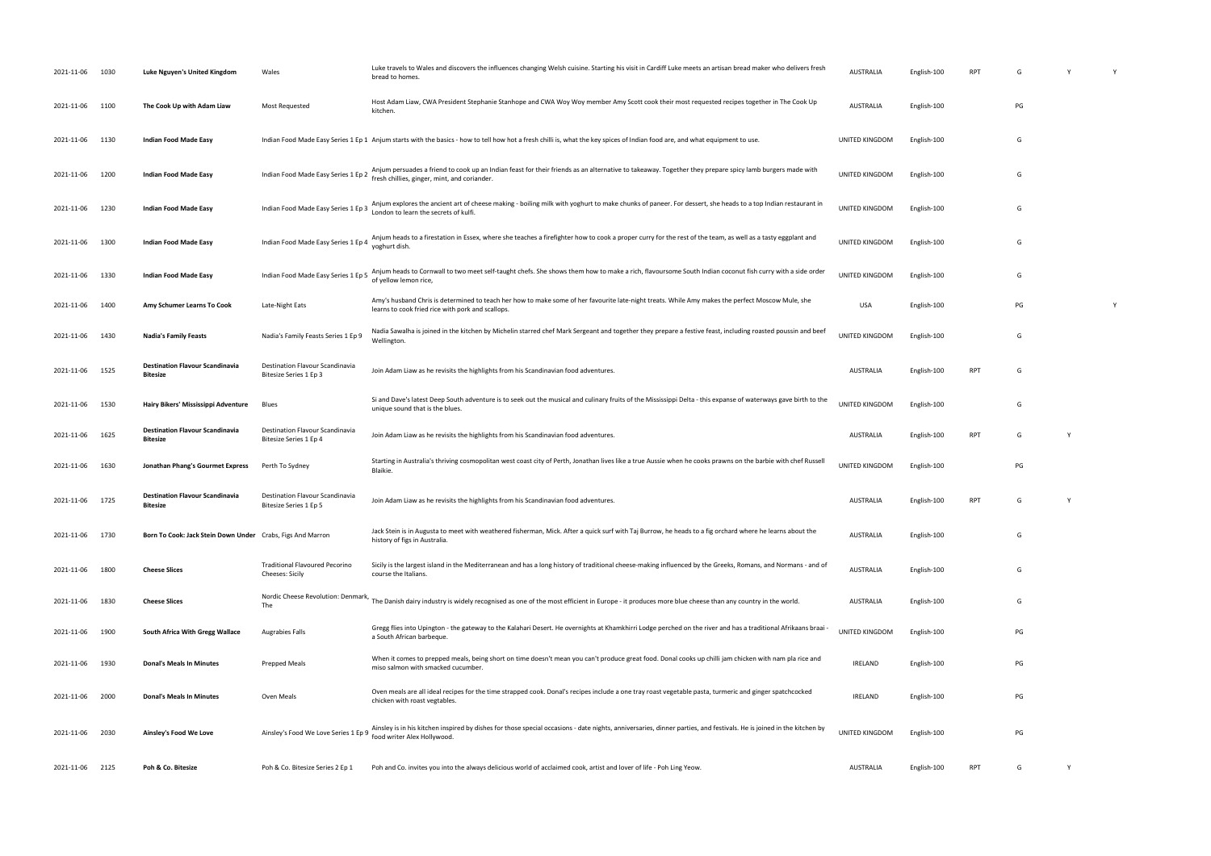| 2021-11-06      | 1030 | Luke Nguyen's United Kingdom                               | Wales                                                     | Luke travels to Wales and discovers the influences changing Welsh cuisine. Starting his visit in Cardiff Luke meets an artisan bread maker who delivers fresh<br>bread to homes.                        | AUSTRALIA             | English-100 | <b>RPT</b> | G  |   |  |
|-----------------|------|------------------------------------------------------------|-----------------------------------------------------------|---------------------------------------------------------------------------------------------------------------------------------------------------------------------------------------------------------|-----------------------|-------------|------------|----|---|--|
| 2021-11-06      | 1100 | The Cook Up with Adam Liaw                                 | Most Requested                                            | Host Adam Liaw, CWA President Stephanie Stanhope and CWA Woy Woy member Amy Scott cook their most requested recipes together in The Cook Up<br>kitchen.                                                 | <b>AUSTRALIA</b>      | English-100 |            | PG |   |  |
| 2021-11-06      | 1130 | Indian Food Made Easy                                      |                                                           | Indian Food Made Easy Series 1 Ep 1 Anjum starts with the basics - how to tell how hot a fresh chilli is, what the key spices of Indian food are, and what equipment to use.                            | UNITED KINGDOM        | English-100 |            | G  |   |  |
| 2021-11-06      | 1200 | <b>Indian Food Made Easy</b>                               | Indian Food Made Easy Series 1 Ep 2                       | Anjum persuades a friend to cook up an Indian feast for their friends as an alternative to takeaway. Together they prepare spicy lamb burgers made with<br>fresh chillies, ginger, mint, and coriander. | UNITED KINGDOM        | English-100 |            | G  |   |  |
| 2021-11-06      | 1230 | Indian Food Made Easy                                      | Indian Food Made Easy Series 1 Ep 3                       | Anjum explores the ancient art of cheese making - boiling milk with yoghurt to make chunks of paneer. For dessert, she heads to a top Indian restaurant in<br>London to learn the secrets of kulfi.     | UNITED KINGDOM        | English-100 |            | G  |   |  |
| 2021-11-06      | 1300 | Indian Food Made Easy                                      | Indian Food Made Easy Series 1 Ep 4                       | Anjum heads to a firestation in Essex, where she teaches a firefighter how to cook a proper curry for the rest of the team, as well as a tasty eggplant and<br>yoghurt dish.                            | UNITED KINGDOM        | English-100 |            | G  |   |  |
| 2021-11-06      | 1330 | Indian Food Made Easy                                      | Indian Food Made Easy Series 1 Ep 5                       | Anjum heads to Cornwall to two meet self-taught chefs. She shows them how to make a rich, flavoursome South Indian coconut fish curry with a side order<br>of yellow lemon rice,                        | UNITED KINGDOM        | English-100 |            | G  |   |  |
| 2021-11-06      | 1400 | Amy Schumer Learns To Cook                                 | Late-Night Eats                                           | Amy's husband Chris is determined to teach her how to make some of her favourite late-night treats. While Amy makes the perfect Moscow Mule, she<br>learns to cook fried rice with pork and scallops.   | <b>USA</b>            | English-100 |            | PG |   |  |
| 2021-11-06      | 1430 | <b>Nadia's Family Feasts</b>                               | Nadia's Family Feasts Series 1 Ep 9                       | Nadia Sawalha is joined in the kitchen by Michelin starred chef Mark Sergeant and together they prepare a festive feast, including roasted poussin and beef<br>Wellington.                              | <b>UNITED KINGDOM</b> | English-100 |            | G  |   |  |
| 2021-11-06      | 1525 | <b>Destination Flavour Scandinavia</b><br><b>Bitesize</b>  | Destination Flavour Scandinavia<br>Bitesize Series 1 Ep 3 | Join Adam Liaw as he revisits the highlights from his Scandinavian food adventures.                                                                                                                     | <b>AUSTRALIA</b>      | English-100 | <b>RPT</b> | G  |   |  |
| 2021-11-06      | 1530 | Hairy Bikers' Mississippi Adventure                        | <b>Blues</b>                                              | Si and Dave's latest Deep South adventure is to seek out the musical and culinary fruits of the Mississippi Delta - this expanse of waterways gave birth to the<br>unique sound that is the blues.      | UNITED KINGDOM        | English-100 |            | G  |   |  |
| 2021-11-06      | 1625 | <b>Destination Flavour Scandinavia</b><br>Bitesize         | Destination Flavour Scandinavia<br>Bitesize Series 1 Ep 4 | Join Adam Liaw as he revisits the highlights from his Scandinavian food adventures.                                                                                                                     | AUSTRALIA             | English-100 | <b>RPT</b> | G  | Y |  |
| 2021-11-06      | 1630 | Jonathan Phang's Gourmet Express                           | Perth To Sydney                                           | Starting in Australia's thriving cosmopolitan west coast city of Perth, Jonathan lives like a true Aussie when he cooks prawns on the barbie with chef Russell<br>Blaikie.                              | <b>UNITED KINGDOM</b> | English-100 |            | PG |   |  |
| 2021-11-06 1725 |      | <b>Destination Flavour Scandinavia</b><br>Bitesize         | Destination Flavour Scandinavia<br>Bitesize Series 1 Ep 5 | Join Adam Liaw as he revisits the highlights from his Scandinavian food adventures.                                                                                                                     | <b>AUSTRALIA</b>      | English-100 | <b>RPT</b> | G  |   |  |
| 2021-11-06 1730 |      | Born To Cook: Jack Stein Down Under Crabs, Figs And Marron |                                                           | Jack Stein is in Augusta to meet with weathered fisherman, Mick. After a quick surf with Taj Burrow, he heads to a fig orchard where he learns about the<br>history of figs in Australia.               | <b>AUSTRALIA</b>      | English-100 |            | G  |   |  |
| 2021-11-06      | 1800 | <b>Cheese Slices</b>                                       | <b>Traditional Flavoured Pecorino</b><br>Cheeses: Sicily  | Sicily is the largest island in the Mediterranean and has a long history of traditional cheese-making influenced by the Greeks, Romans, and Normans - and of<br>course the Italians.                    | AUSTRALIA             | English-100 |            | G  |   |  |
| 2021-11-06      | 1830 | <b>Cheese Slices</b>                                       | Nordic Cheese Revolution: Denmark,<br>The                 | The Danish dairy industry is widely recognised as one of the most efficient in Europe - it produces more blue cheese than any country in the world.                                                     | AUSTRALIA             | English-100 |            | G  |   |  |
| 2021-11-06      | 1900 | South Africa With Gregg Wallace                            | <b>Augrabies Falls</b>                                    | Gregg flies into Upington - the gateway to the Kalahari Desert. He overnights at Khamkhirri Lodge perched on the river and has a traditional Afrikaans braai -<br>a South African barbeque.             | <b>UNITED KINGDOM</b> | English-100 |            | PG |   |  |
| 2021-11-06      | 1930 | <b>Donal's Meals In Minutes</b>                            | <b>Prepped Meals</b>                                      | When it comes to prepped meals, being short on time doesn't mean you can't produce great food. Donal cooks up chilli jam chicken with nam pla rice and<br>miso salmon with smacked cucumber.            | <b>IRELAND</b>        | English-100 |            | PG |   |  |
| 2021-11-06      | 2000 | <b>Donal's Meals In Minutes</b>                            | Oven Meals                                                | Oven meals are all ideal recipes for the time strapped cook. Donal's recipes include a one tray roast vegetable pasta, turmeric and ginger spatchcocked<br>chicken with roast vegtables.                | IRELAND               | English-100 |            | PG |   |  |
| 2021-11-06      | 2030 | Ainsley's Food We Love                                     | Ainsley's Food We Love Series 1 Ep 9                      | Ainsley is in his kitchen inspired by dishes for those special occasions - date nights, anniversaries, dinner parties, and festivals. He is joined in the kitchen by<br>food writer Alex Hollywood.     | UNITED KINGDOM        | English-100 |            | PG |   |  |
| 2021-11-06 2125 |      | Poh & Co. Bitesize                                         | Poh & Co. Bitesize Series 2 Ep 1                          | Poh and Co. invites you into the always delicious world of acclaimed cook, artist and lover of life - Poh Ling Yeow.                                                                                    | AUSTRALIA             | English-100 | RPT        | G  | Y |  |